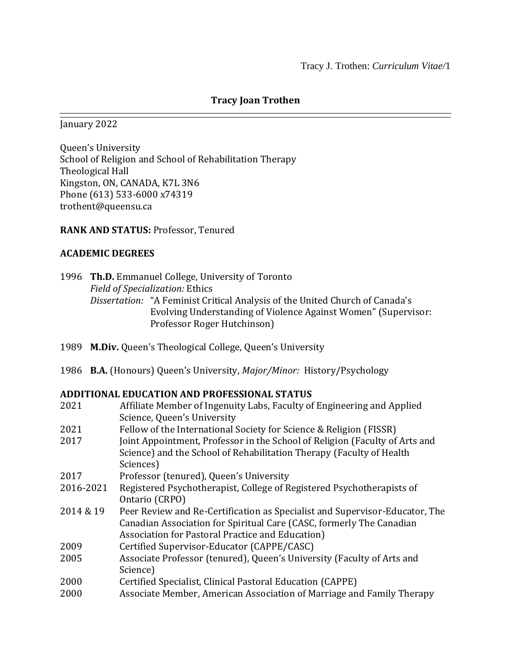### **Tracy Joan Trothen** ⎯⎯⎯⎯⎯⎯⎯⎯⎯⎯⎯⎯⎯⎯⎯⎯⎯⎯⎯⎯⎯⎯⎯⎯⎯⎯⎯⎯⎯⎯⎯⎯⎯⎯⎯⎯⎯⎯⎯

January 2022

Queen's University School of Religion and School of Rehabilitation Therapy Theological Hall Kingston, ON, CANADA, K7L 3N6 Phone (613) 533-6000 x74319 trothent@queensu.ca

### **RANK AND STATUS:** Professor, Tenured

#### **ACADEMIC DEGREES**

|  |                                        | 1996 Th.D. Emmanuel College, University of Toronto                           |  |  |
|--|----------------------------------------|------------------------------------------------------------------------------|--|--|
|  | <b>Field of Specialization: Ethics</b> |                                                                              |  |  |
|  |                                        | Dissertation: "A Feminist Critical Analysis of the United Church of Canada's |  |  |
|  |                                        | Evolving Understanding of Violence Against Women" (Supervisor:               |  |  |
|  |                                        | Professor Roger Hutchinson)                                                  |  |  |

- 1989 **M.Div.** Queen's Theological College, Queen's University
- 1986 **B.A.** (Honours) Queen's University, *Major/Minor:* History/Psychology

#### **ADDITIONAL EDUCATION AND PROFESSIONAL STATUS**

| 2021      | Affiliate Member of Ingenuity Labs, Faculty of Engineering and Applied      |
|-----------|-----------------------------------------------------------------------------|
|           | Science, Queen's University                                                 |
| 2021      | Fellow of the International Society for Science & Religion (FISSR)          |
| 2017      | Joint Appointment, Professor in the School of Religion (Faculty of Arts and |
|           | Science) and the School of Rehabilitation Therapy (Faculty of Health        |
|           | Sciences)                                                                   |
| 2017      | Professor (tenured), Queen's University                                     |
| 2016-2021 | Registered Psychotherapist, College of Registered Psychotherapists of       |
|           | Ontario (CRPO)                                                              |
| 2014 & 19 | Peer Review and Re-Certification as Specialist and Supervisor-Educator, The |
|           | Canadian Association for Spiritual Care (CASC, formerly The Canadian        |
|           | Association for Pastoral Practice and Education)                            |
| 2009      | Certified Supervisor-Educator (CAPPE/CASC)                                  |
| 2005      | Associate Professor (tenured), Queen's University (Faculty of Arts and      |
|           | Science)                                                                    |
| 2000      | Certified Specialist, Clinical Pastoral Education (CAPPE)                   |
| 2000      | Associate Member, American Association of Marriage and Family Therapy       |
|           |                                                                             |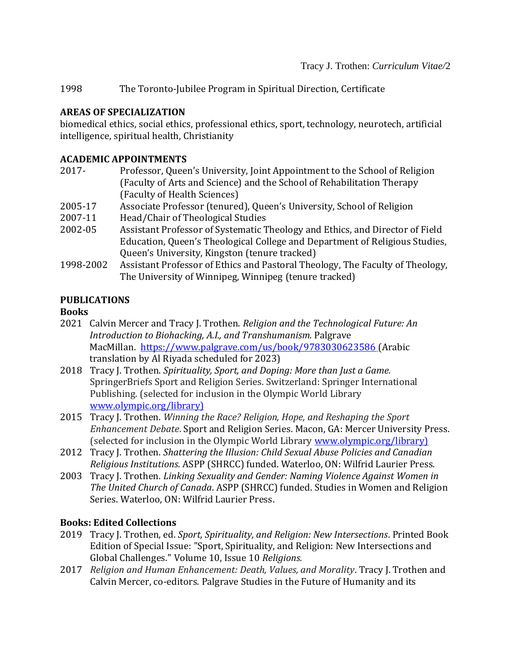1998 The Toronto-Jubilee Program in Spiritual Direction, Certificate

## **AREAS OF SPECIALIZATION**

biomedical ethics, social ethics, professional ethics, sport, technology, neurotech, artificial intelligence, spiritual health, Christianity

## **ACADEMIC APPOINTMENTS**

- 2017- Professor, Queen's University, Joint Appointment to the School of Religion (Faculty of Arts and Science) and the School of Rehabilitation Therapy (Faculty of Health Sciences)
- 2005-17 Associate Professor (tenured), Queen's University, School of Religion
- 2007-11 Head/Chair of Theological Studies
- 2002-05 Assistant Professor of Systematic Theology and Ethics, and Director of Field Education, Queen's Theological College and Department of Religious Studies, Queen's University, Kingston (tenure tracked)
- 1998-2002 Assistant Professor of Ethics and Pastoral Theology, The Faculty of Theology, The University of Winnipeg, Winnipeg (tenure tracked)

## **PUBLICATIONS**

## **Books**

- 2021 Calvin Mercer and Tracy J. Trothen. *Religion and the Technological Future: An Introduction to Biohacking, A.I., and Transhumanism.* Palgrave MacMillan. [https://www.palgrave.com/us/book/9783030623586](https://can01.safelinks.protection.outlook.com/?url=http%3A%2F%2Fr20.rs6.net%2Ftn.jsp%3Ff%3D001gCzyjtrFWgafvciptOzHzaATyXby4S9s7XELAeRyfxgNw_4ltn_EWy1FW9NrTZXTQjY-QdmsuxOq00wKRMTnUfsPuWMYTO86rQT-G_QHQTynwL9Zos1SYbubgkpaUAQGUey8YmZHd-gsf51oN4rYKXqsla7sevG6t5O0nCd7cfJKoQuAgfvFq3iJvlBCUgT5h5nEoEQ0K2OiTVswCrMRuHTZjV3-HT0BiJONKLLkXUUyeZhZGU4eOzoJ-zA3t-diKgCN_FspJh2z7nQmtB1OcrsY1MNq2muNzY17ToFxp1qzSZULRra0kavz3biTv80g0-CT38wb9Z1zSyFr4DnBptwToESfG-ZRZOuXHgZnC_vFrPXvnBw-qq2Rz-KiPSAbLLg4DDvW211bug45qOONRsKlYBFlOwdiyy9UaLdWZHHi9_3RuTpP7gQprJThC7z2ajmZUNdoyYirkINL3HSNuk9n29f_XYokwyhO_WiG29eHGRd_45XUB6Cwv_ozwbjAO_0cLt-dAcMasp_wLpZakpwvuwVqIZczNYO-yB9aj8rsAu_MUbcM8IPxpfv1AHDvFuTgBctPIiaa8UTIEGSb1JuiEudoEYlxYLWEePTyXaHGDJFoUzCxP8SphhmqMfcc6Q3_hUwb2_slRv-ZOntnSpckZU8_PkpeMuHEa8oCdMcfpZpWTL_6vXAB1NWVzTs1UwXUQ6dy7-FZwHOZm3Wn0enXYTrQcwVX%26c%3DNjf2X6LQdEk9Fgeekcw_yeYp-dgs2ZVfDlOhlpPpxef7tQB0RzN18A%3D%3D%26ch%3DBoc4aXGmMajDwzE57ECysxI2x0aDMQFVk8eAQyLdCmYI0rEzCW1Rkg%3D%3D&data=04%7C01%7Ctrothent%40queensu.ca%7C9b6738bd556248d133ed08d997d6c1f7%7Cd61ecb3b38b142d582c4efb2838b925c%7C1%7C0%7C637707770904535962%7CUnknown%7CTWFpbGZsb3d8eyJWIjoiMC4wLjAwMDAiLCJQIjoiV2luMzIiLCJBTiI6Ik1haWwiLCJXVCI6Mn0%3D%7C1000&sdata=zl7CY6x%2FmVXgLJtudmzao%2BwCfvRHopfjWcbuUVJoo7c%3D&reserved=0) (Arabic translation by Al Riyada scheduled for 2023)
- 2018 Tracy J. Trothen. *Spirituality, Sport, and Doping: More than Just a Game*. SpringerBriefs Sport and Religion Series. Switzerland: Springer International Publishing. (selected for inclusion in the Olympic World Library [www.olympic.org/library\)](http://www.olympic.org/library)
- 2015 Tracy J. Trothen. *Winning the Race? Religion, Hope, and Reshaping the Sport Enhancement Debate*. Sport and Religion Series. Macon, GA: Mercer University Press. (selected for inclusion in the Olympic World Library [www.olympic.org/library\)](http://www.olympic.org/library)
- 2012 Tracy J. Trothen. *Shattering the Illusion: Child Sexual Abuse Policies and Canadian Religious Institutions.* ASPP (SHRCC) funded. Waterloo, ON: Wilfrid Laurier Press.
- 2003 Tracy J. Trothen. *Linking Sexuality and Gender: Naming Violence Against Women in The United Church of Canada*. ASPP (SHRCC) funded. Studies in Women and Religion Series. Waterloo, ON: Wilfrid Laurier Press.

# **Books: Edited Collections**

- 2019 Tracy J. Trothen, ed. *Sport, Spirituality, and Religion: New Intersections*. Printed Book Edition of Special Issue: "Sport, Spirituality, and Religion: New Intersections and Global Challenges." Volume 10, Issue 10 *Religions.*
- 2017 *Religion and Human Enhancement: Death, Values, and Morality*. Tracy J. Trothen and Calvin Mercer, co-editors. Palgrave Studies in the Future of Humanity and its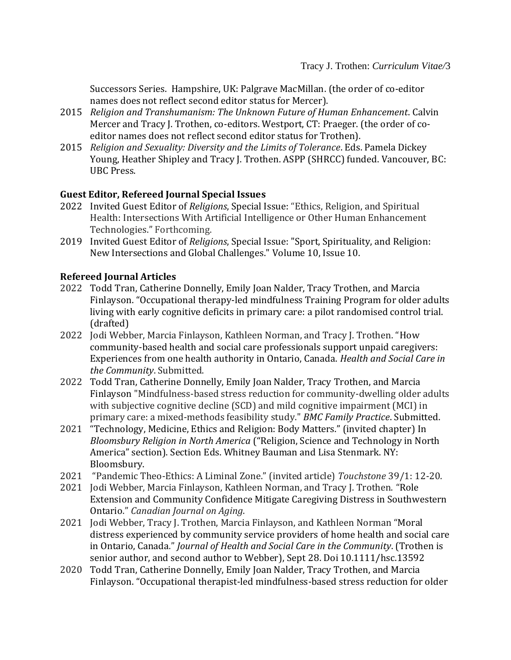Successors Series. Hampshire, UK: Palgrave MacMillan. (the order of co-editor names does not reflect second editor status for Mercer).

- 2015 *Religion and Transhumanism: The Unknown Future of Human Enhancement*. Calvin Mercer and Tracy J. Trothen, co-editors. Westport, CT: Praeger. (the order of coeditor names does not reflect second editor status for Trothen).
- 2015 *Religion and Sexuality: Diversity and the Limits of Tolerance*. Eds. Pamela Dickey Young, Heather Shipley and Tracy J. Trothen. ASPP (SHRCC) funded. Vancouver, BC: UBC Press.

# **Guest Editor, Refereed Journal Special Issues**

- 2022 Invited Guest Editor of *Religions*, Special Issue: "Ethics, Religion, and Spiritual Health: Intersections With Artificial Intelligence or Other Human Enhancement Technologies." Forthcoming.
- 2019 Invited Guest Editor of *Religions*, Special Issue: "Sport, Spirituality, and Religion: New Intersections and Global Challenges." Volume 10, Issue 10.

## **Refereed Journal Articles**

- 2022 Todd Tran, Catherine Donnelly, Emily Joan Nalder, Tracy Trothen, and Marcia Finlayson. "Occupational therapy-led mindfulness Training Program for older adults living with early cognitive deficits in primary care: a pilot randomised control trial. (drafted)
- 2022 Jodi Webber, Marcia Finlayson, Kathleen Norman, and Tracy J. Trothen. "How community-based health and social care professionals support unpaid caregivers: Experiences from one health authority in Ontario, Canada. *Health and Social Care in the Community*. Submitted.
- 2022 Todd Tran, Catherine Donnelly, Emily Joan Nalder, Tracy Trothen, and Marcia Finlayson "Mindfulness-based stress reduction for community-dwelling older adults with subjective cognitive decline (SCD) and mild cognitive impairment (MCI) in primary care: a mixed-methods feasibility study." *BMC Family Practice*. Submitted.
- 2021 "Technology, Medicine, Ethics and Religion: Body Matters." (invited chapter) In *Bloomsbury Religion in North America* ("Religion, Science and Technology in North America" section). Section Eds. Whitney Bauman and Lisa Stenmark. NY: Bloomsbury.
- 2021 "Pandemic Theo-Ethics: A Liminal Zone." (invited article) *Touchstone* 39/1: 12-20.
- 2021 Jodi Webber, Marcia Finlayson, Kathleen Norman, and Tracy J. Trothen. "Role Extension and Community Confidence Mitigate Caregiving Distress in Southwestern Ontario." *Canadian Journal on Aging*.
- 2021 Jodi Webber, Tracy J. Trothen, Marcia Finlayson, and Kathleen Norman "Moral distress experienced by community service providers of home health and social care in Ontario, Canada." *Journal of Health and Social Care in the Community*. (Trothen is senior author, and second author to Webber), Sept 28. Doi 10.1111/hsc.13592
- 2020 Todd Tran, Catherine Donnelly, Emily Joan Nalder, Tracy Trothen, and Marcia Finlayson. "Occupational therapist-led mindfulness-based stress reduction for older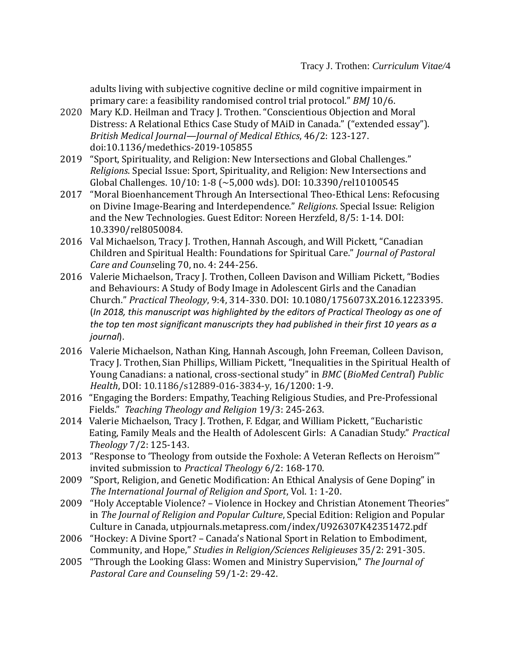adults living with subjective cognitive decline or mild cognitive impairment in primary care: a feasibility randomised control trial protocol." *BMJ* 10/6.

- 2020 Mary K.D. Heilman and Tracy J. Trothen. "Conscientious Objection and Moral Distress: A Relational Ethics Case Study of MAiD in Canada." ("extended essay"). *British Medical Journal—Journal of Medical Ethics*, 46/2: 123-127. doi:10.1136/medethics-2019-105855
- 2019 "Sport, Spirituality, and Religion: New Intersections and Global Challenges." *Religions*. Special Issue: Sport, Spirituality, and Religion: New Intersections and Global Challenges. 10/10: 1-8 (~5,000 wds). [DOI: 10.3390/rel10100545](https://doi.org/10.3390/rel10100545)
- 2017 "Moral Bioenhancement Through An Intersectional Theo-Ethical Lens: Refocusing on Divine Image-Bearing and Interdependence." *Religions*. Special Issue: Religion and the New Technologies. Guest Editor: Noreen Herzfeld, 8/5: 1-14. DOI: 10.3390/rel8050084.
- 2016 Val Michaelson, Tracy J. Trothen, Hannah Ascough, and Will Pickett, "Canadian Children and Spiritual Health: Foundations for Spiritual Care." *Journal of Pastoral Care and Couns*eling 70, no. 4: 244-256.
- 2016 Valerie Michaelson, Tracy J. Trothen, Colleen Davison and William Pickett, "Bodies and Behaviours: A Study of Body Image in Adolescent Girls and the Canadian Church." *Practical Theology*, 9:4, 314-330. DOI: 10.1080/1756073X.2016.1223395. (*In 2018, this manuscript was highlighted by the editors of Practical Theology as one of the top ten most significant manuscripts they had published in their first 10 years as a journal*).
- 2016 Valerie Michaelson, Nathan King, Hannah Ascough, John Freeman, Colleen Davison, Tracy J. Trothen,Sian Phillips, William Pickett, "Inequalities in the Spiritual Health of Young Canadians: a national, cross-sectional study" in *BMC* (*BioMed Central*) *Public Health*, DOI: 10.1186/s12889-016-3834-y, 16/1200: 1-9.
- 2016 "Engaging the Borders: Empathy, Teaching Religious Studies, and Pre-Professional Fields." *Teaching Theology and Religion* 19/3: 245-263.
- 2014 Valerie Michaelson, Tracy J. Trothen, F. Edgar, and William Pickett, "Eucharistic Eating, Family Meals and the Health of Adolescent Girls: A Canadian Study." *Practical Theology* 7/2: 125-143.
- 2013 "Response to 'Theology from outside the Foxhole: A Veteran Reflects on Heroism'" invited submission to *Practical Theology* 6/2: 168-170.
- 2009 "Sport, Religion, and Genetic Modification: An Ethical Analysis of Gene Doping" in *The International Journal of Religion and Sport*, Vol. 1: 1-20.
- 2009 "Holy Acceptable Violence? Violence in Hockey and Christian Atonement Theories" in *The Journal of Religion and Popular Culture*, Special Edition: Religion and Popular Culture in Canada, utpjournals.metapress.com/index/U926307K42351472.pdf
- 2006 "Hockey: A Divine Sport? Canada's National Sport in Relation to Embodiment, Community, and Hope," *Studies in Religion/Sciences Religieuses* 35/2: 291-305.
- 2005 "Through the Looking Glass: Women and Ministry Supervision," *The Journal of Pastoral Care and Counseling* 59/1-2: 29-42.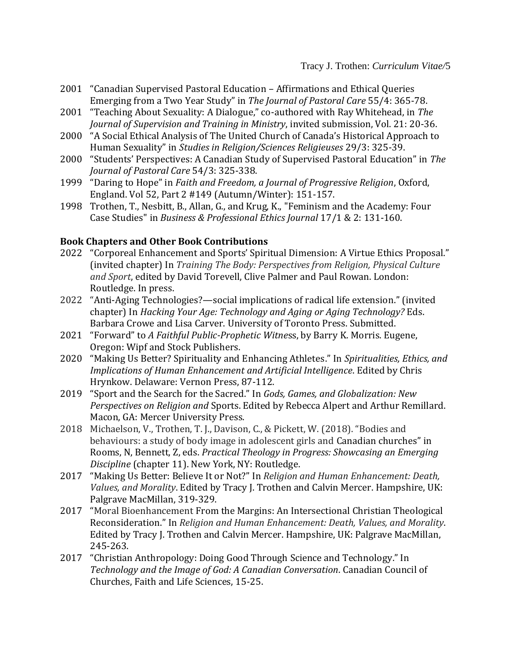- 2001 "Canadian Supervised Pastoral Education Affirmations and Ethical Queries Emerging from a Two Year Study" in *The Journal of Pastoral Care* 55/4: 365-78.
- 2001 "Teaching About Sexuality: A Dialogue," co-authored with Ray Whitehead, in *The Journal of Supervision and Training in Ministry*, invited submission, Vol. 21: 20-36.
- 2000 "A Social Ethical Analysis of The United Church of Canada's Historical Approach to Human Sexuality" in *Studies in Religion/Sciences Religieuses* 29/3: 325-39.
- 2000 "Students' Perspectives: A Canadian Study of Supervised Pastoral Education" in *The Journal of Pastoral Care* 54/3: 325-338.
- 1999 "Daring to Hope" in *Faith and Freedom, a Journal of Progressive Religion*, Oxford, England. Vol 52, Part 2 #149 (Autumn/Winter): 151-157.
- 1998 Trothen, T., Nesbitt, B., Allan, G., and Krug, K., "Feminism and the Academy: Four Case Studies" in *Business & Professional Ethics Journal* 17/1 & 2: 131-160.

### **Book Chapters and Other Book Contributions**

- 2022 "Corporeal Enhancement and Sports' Spiritual Dimension: A Virtue Ethics Proposal." (invited chapter) In *Training The Body: Perspectives from Religion, Physical Culture and Sport*, edited by David Torevell, Clive Palmer and Paul Rowan. London: Routledge. In press.
- 2022 "Anti-Aging Technologies?—social implications of radical life extension." (invited chapter) In *Hacking Your Age: Technology and Aging or Aging Technology?* Eds. Barbara Crowe and Lisa Carver. University of Toronto Press. Submitted.
- 2021 "Forward" to *A Faithful Public-Prophetic Witne*ss, by Barry K. Morris. Eugene, Oregon: Wipf and Stock Publishers.
- 2020 "Making Us Better? Spirituality and Enhancing Athletes." In *Spiritualities, Ethics, and Implications of Human Enhancement and Artificial Intelligence*. Edited by Chris Hrynkow. Delaware: Vernon Press, 87-112.
- 2019 "Sport and the Search for the Sacred." In *Gods, Games, and Globalization: New Perspectives on Religion and* Sports. Edited by Rebecca Alpert and Arthur Remillard. Macon, GA: Mercer University Press.
- 2018 Michaelson, V., Trothen, T. J., Davison, C., & Pickett, W. (2018). "Bodies and behaviours: a study of body image in adolescent girls and Canadian churches" in Rooms, N, Bennett, Z, eds. *Practical Theology in Progress: Showcasing an Emerging Discipline* (chapter 11). New York, NY: Routledge.
- 2017 "Making Us Better: Believe It or Not?" In *Religion and Human Enhancement: Death, Values, and Morality*. Edited by Tracy J. Trothen and Calvin Mercer. Hampshire, UK: Palgrave MacMillan, 319-329.
- 2017 "Moral Bioenhancement From the Margins: An Intersectional Christian Theological Reconsideration." In *Religion and Human Enhancement: Death, Values, and Morality*. Edited by Tracy J. Trothen and Calvin Mercer. Hampshire, UK: Palgrave MacMillan, 245-263.
- 2017 "Christian Anthropology: Doing Good Through Science and Technology." In *Technology and the Image of God: A Canadian Conversation*. Canadian Council of Churches, Faith and Life Sciences, 15-25.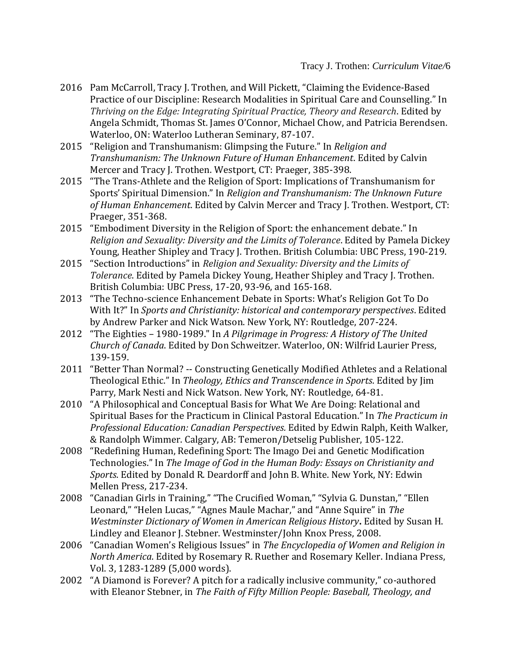- 2016 Pam McCarroll, Tracy J. Trothen, and Will Pickett, "Claiming the Evidence-Based Practice of our Discipline: Research Modalities in Spiritual Care and Counselling." In *Thriving on the Edge: Integrating Spiritual Practice, Theory and Research*. Edited by Angela Schmidt, Thomas St. James O'Connor, Michael Chow, and Patricia Berendsen. Waterloo, ON: Waterloo Lutheran Seminary, 87-107.
- 2015 "Religion and Transhumanism: Glimpsing the Future." In *Religion and Transhumanism: The Unknown Future of Human Enhancement*. Edited by Calvin Mercer and Tracy J. Trothen. Westport, CT: Praeger, 385-398.
- 2015 "The Trans-Athlete and the Religion of Sport: Implications of Transhumanism for Sports' Spiritual Dimension." In *Religion and Transhumanism: The Unknown Future of Human Enhancement*. Edited by Calvin Mercer and Tracy J. Trothen. Westport, CT: Praeger, 351-368.
- 2015 "Embodiment Diversity in the Religion of Sport: the enhancement debate." In *Religion and Sexuality: Diversity and the Limits of Tolerance*. Edited by Pamela Dickey Young, Heather Shipley and Tracy J. Trothen. British Columbia: UBC Press, 190-219.
- 2015 "Section Introductions" in *Religion and Sexuality: Diversity and the Limits of Tolerance*. Edited by Pamela Dickey Young, Heather Shipley and Tracy J. Trothen. British Columbia: UBC Press, 17-20, 93-96, and 165-168.
- 2013 "The Techno-science Enhancement Debate in Sports: What's Religion Got To Do With It?" In *Sports and Christianity: historical and contemporary perspectives*. Edited by Andrew Parker and Nick Watson. New York, NY: Routledge, 207-224.
- 2012 "The Eighties 1980-1989." In *A Pilgrimage in Progress: A History of The United Church of Canada*. Edited by Don Schweitzer. Waterloo, ON: Wilfrid Laurier Press, 139-159.
- 2011 "Better Than Normal? -- Constructing Genetically Modified Athletes and a Relational Theological Ethic." In *Theology, Ethics and Transcendence in Sports*. Edited by Jim Parry, Mark Nesti and Nick Watson. New York, NY: Routledge, 64-81.
- 2010 "A Philosophical and Conceptual Basis for What We Are Doing: Relational and Spiritual Bases for the Practicum in Clinical Pastoral Education." In *The Practicum in Professional Education: Canadian Perspectives.* Edited by Edwin Ralph, Keith Walker, & Randolph Wimmer. Calgary, AB: Temeron/Detselig Publisher, 105-122.
- 2008 "Redefining Human, Redefining Sport: The Imago Dei and Genetic Modification Technologies." In *The Image of God in the Human Body: Essays on Christianity and Sports*. Edited by Donald R. Deardorff and John B. White. New York, NY: Edwin Mellen Press, 217-234.
- 2008 "Canadian Girls in Training," "The Crucified Woman," "Sylvia G. Dunstan," "Ellen Leonard," "Helen Lucas," "Agnes Maule Machar," and "Anne Squire" in *The Westminster Dictionary of Women in American Religious History***.** Edited by Susan H. Lindley and Eleanor J. Stebner. Westminster/John Knox Press, 2008.
- 2006 "Canadian Women's Religious Issues" in *The Encyclopedia of Women and Religion in North America*. Edited by Rosemary R. Ruether and Rosemary Keller. Indiana Press, Vol. 3, 1283-1289 (5,000 words).
- 2002 "A Diamond is Forever? A pitch for a radically inclusive community," co-authored with Eleanor Stebner, in *The Faith of Fifty Million People: Baseball, Theology, and*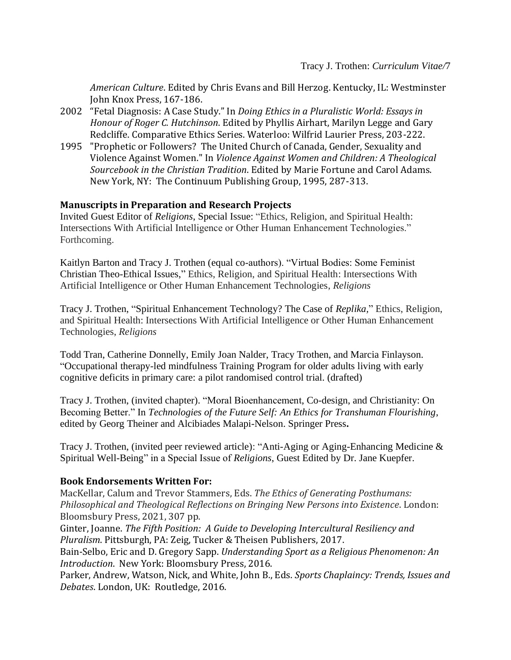*American Culture*. Edited by Chris Evans and Bill Herzog. Kentucky, IL: Westminster John Knox Press, 167-186.

- 2002 "Fetal Diagnosis: A Case Study." In *Doing Ethics in a Pluralistic World: Essays in Honour of Roger C. Hutchinson*. Edited by Phyllis Airhart, Marilyn Legge and Gary Redcliffe. Comparative Ethics Series. Waterloo: Wilfrid Laurier Press, 203-222.
- 1995 "Prophetic or Followers? The United Church of Canada, Gender, Sexuality and Violence Against Women." In *Violence Against Women and Children: A Theological Sourcebook in the Christian Tradition*. Edited by Marie Fortune and Carol Adams. New York, NY: The Continuum Publishing Group, 1995, 287-313.

### **Manuscripts in Preparation and Research Projects**

Invited Guest Editor of *Religions*, Special Issue: "Ethics, Religion, and Spiritual Health: Intersections With Artificial Intelligence or Other Human Enhancement Technologies." Forthcoming.

Kaitlyn Barton and Tracy J. Trothen (equal co-authors). "Virtual Bodies: Some Feminist Christian Theo-Ethical Issues," Ethics, Religion, and Spiritual Health: Intersections With Artificial Intelligence or Other Human Enhancement Technologies, *Religions*

Tracy J. Trothen, "Spiritual Enhancement Technology? The Case of *Replika,*" Ethics, Religion, and Spiritual Health: Intersections With Artificial Intelligence or Other Human Enhancement Technologies, *Religions*

Todd Tran, Catherine Donnelly, Emily Joan Nalder, Tracy Trothen, and Marcia Finlayson. "Occupational therapy-led mindfulness Training Program for older adults living with early cognitive deficits in primary care: a pilot randomised control trial. (drafted)

Tracy J. Trothen, (invited chapter). "Moral Bioenhancement, Co-design, and Christianity: On Becoming Better." In *Technologies of the Future Self: An Ethics for Transhuman Flourishing*, edited by Georg Theiner and Alcibiades Malapi-Nelson. Springer Press**.** 

Tracy J. Trothen, (invited peer reviewed article): "Anti-Aging or Aging-Enhancing Medicine & Spiritual Well-Being" in a Special Issue of *Religions*, Guest Edited by Dr. Jane Kuepfer.

#### **Book Endorsements Written For:**

MacKellar, Calum and Trevor Stammers, Eds. *The Ethics of Generating Posthumans: Philosophical and Theological Reflections on Bringing New Persons into Existence*. London: Bloomsbury Press, 2021, 307 pp.

Ginter, Joanne. *The Fifth Position: A Guide to Developing Intercultural Resiliency and Pluralism*. Pittsburgh, PA: Zeig, Tucker & Theisen Publishers, 2017.

Bain-Selbo, Eric and D. Gregory Sapp. *Understanding Sport as a Religious Phenomenon: An Introduction*. New York: Bloomsbury Press, 2016.

Parker, Andrew, Watson, Nick, and White, John B., Eds. *Sports Chaplaincy: Trends, Issues and Debates*. London, UK: Routledge, 2016.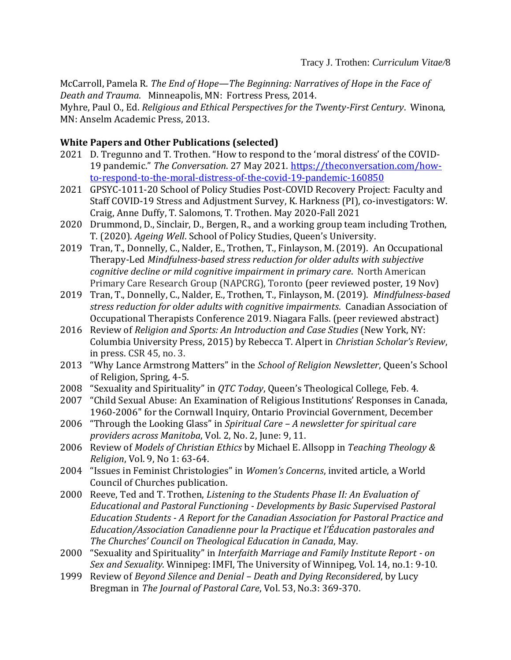McCarroll, Pamela R. *The End of Hope—The Beginning: Narratives of Hope in the Face of Death and Trauma*. Minneapolis, MN: Fortress Press, 2014.

Myhre, Paul O., Ed. *Religious and Ethical Perspectives for the Twenty-First Century*. Winona, MN: Anselm Academic Press, 2013.

#### **White Papers and Other Publications (selected)**

- 2021 D. Tregunno and T. Trothen. "How to respond to the 'moral distress' of the COVID-19 pandemic." *The Conversation*. 27 May 2021. [https://theconversation.com/how](https://theconversation.com/how-to-respond-to-the-moral-distress-of-the-covid-19-pandemic-160850)[to-respond-to-the-moral-distress-of-the-covid-19-pandemic-160850](https://theconversation.com/how-to-respond-to-the-moral-distress-of-the-covid-19-pandemic-160850)
- 2021 GPSYC-1011-20 School of Policy Studies Post-COVID Recovery Project: Faculty and Staff COVID-19 Stress and Adjustment Survey, K. Harkness (PI), co-investigators: W. Craig, Anne Duffy, T. Salomons, T. Trothen. May 2020-Fall 2021
- 2020 Drummond, D., Sinclair, D., Bergen, R., and a working group team including Trothen, T. (2020). *Ageing Well*. School of Policy Studies, Queen's University.
- 2019 Tran, T., Donnelly, C., Nalder, E., Trothen, T., Finlayson, M. (2019). An Occupational Therapy-Led *Mindfulness-based stress reduction for older adults with subjective cognitive decline or mild cognitive impairment in primary care*. North American Primary Care Research Group (NAPCRG), Toronto (peer reviewed poster, 19 Nov)
- 2019 Tran, T., Donnelly, C., Nalder, E., Trothen, T., Finlayson, M. (2019). *Mindfulness-based stress reduction for older adults with cognitive impairments*. Canadian Association of Occupational Therapists Conference 2019. Niagara Falls. (peer reviewed abstract)
- 2016 Review of *Religion and Sports: An Introduction and Case Studies* (New York, NY: Columbia University Press, 2015) by Rebecca T. Alpert in *Christian Scholar's Review*, in press. CSR 45, no. 3.
- 2013 "Why Lance Armstrong Matters" in the *School of Religion Newsletter*, Queen's School of Religion, Spring, 4-5.
- 2008 "Sexuality and Spirituality" in *QTC Today*, Queen's Theological College, Feb. 4.
- 2007 "Child Sexual Abuse: An Examination of Religious Institutions' Responses in Canada, 1960-2006" for the Cornwall Inquiry, Ontario Provincial Government, December
- 2006 "Through the Looking Glass" in *Spiritual Care – A newsletter for spiritual care providers across Manitoba*, Vol. 2, No. 2, June: 9, 11.
- 2006 Review of *Models of Christian Ethics* by Michael E. Allsopp in *Teaching Theology & Religion*, Vol. 9, No 1: 63-64.
- 2004 "Issues in Feminist Christologies" in *Women's Concerns*, invited article, a World Council of Churches publication.
- 2000 Reeve, Ted and T. Trothen, *Listening to the Students Phase II: An Evaluation of Educational and Pastoral Functioning - Developments by Basic Supervised Pastoral Education Students - A Report for the Canadian Association for Pastoral Practice and Education/Association Canadienne pour la Practique et l'Éducation pastorales and The Churches' Council on Theological Education in Canada*, May.
- 2000 "Sexuality and Spirituality" in *Interfaith Marriage and Family Institute Report - on Sex and Sexuality*. Winnipeg: IMFI, The University of Winnipeg, Vol. 14, no.1: 9-10.
- 1999 Review of *Beyond Silence and Denial – Death and Dying Reconsidered*, by Lucy Bregman in *The Journal of Pastoral Care*, Vol. 53, No.3: 369-370.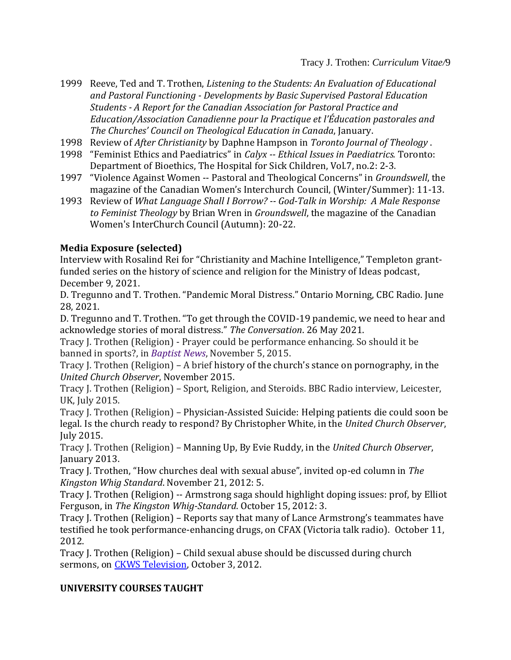- 1999 Reeve, Ted and T. Trothen, *Listening to the Students: An Evaluation of Educational and Pastoral Functioning - Developments by Basic Supervised Pastoral Education Students - A Report for the Canadian Association for Pastoral Practice and Education/Association Canadienne pour la Practique et l'Éducation pastorales and The Churches' Council on Theological Education in Canada*, January.
- 1998 Review of *After Christianity* by Daphne Hampson in *Toronto Journal of Theology* .
- 1998 "Feminist Ethics and Paediatrics" in *Calyx -- Ethical Issues in Paediatrics.* Toronto: Department of Bioethics, The Hospital for Sick Children, Vol.7, no.2: 2-3.
- 1997 "Violence Against Women -- Pastoral and Theological Concerns" in *Groundswell*, the magazine of the Canadian Women's Interchurch Council, (Winter/Summer): 11-13.
- 1993 Review of *What Language Shall I Borrow? -- God-Talk in Worship: A Male Response to Feminist Theology* by Brian Wren in *Groundswell*, the magazine of the Canadian Women's InterChurch Council (Autumn): 20-22.

# **Media Exposure (selected)**

Interview with Rosalind Rei for "Christianity and Machine Intelligence," Templeton grantfunded series on the history of science and religion for the Ministry of Ideas podcast, December 9, 2021.

D. Tregunno and T. Trothen. "Pandemic Moral Distress." Ontario Morning, CBC Radio. June 28, 2021.

D. Tregunno and T. Trothen. "To get through the COVID-19 pandemic, we need to hear and acknowledge stories of moral distress." *The Conversation*. 26 May 2021.

Tracy J. Trothen (Religion) - Prayer could be performance enhancing. So should it be banned in sports?, in *[Baptist News](https://baptistnews.com/culture/item/30633-prayer-as-doping-and-other-topics-ahead-at-baylor-faith-and-sport-symposium)*, November 5, 2015.

Tracy J. Trothen (Religion) – A brief history of the church's stance on pornography, in the *[United Church Observer](http://www.ucobserver.org/ethics/2015/11/pornography/)*, November 2015.

Tracy J. Trothen (Religion) – Sport, Religion, and Steroids. BBC Radio interview, Leicester, UK, July 2015.

Tracy J. Trothen (Religion) – Physician-Assisted Suicide: Helping patients die could soon be legal. Is the church ready to respond? By Christopher White, in the *[United Church Observer](http://www.ucobserver.org/ethics/2015/11/pornography/)*, July 2015.

Tracy J. Trothen (Religion) – Manning Up, By Evie Ruddy, in the *[United Church Observer](http://www.ucobserver.org/ethics/2015/11/pornography/)*, January 2013.

Tracy J. Trothen, "How churches deal with sexual abuse", invited op-ed column in *The Kingston Whig Standard*. November 21, 2012: 5.

Tracy J. Trothen (Religion) -- Armstrong saga should highlight doping issues: prof, by Elliot Ferguson, in *The Kingston Whig-Standard*. October 15, 2012: 3.

Tracy J. Trothen (Religion) – Reports say that many of Lance Armstrong's teammates have testified he took performance-enhancing drugs, on CFAX (Victoria talk radio). October 11, 2012.

Tracy J. Trothen (Religion) – Child sexual abuse should be discussed during church sermons, on **CKWS Television**, October 3, 2012.

### **UNIVERSITY COURSES TAUGHT**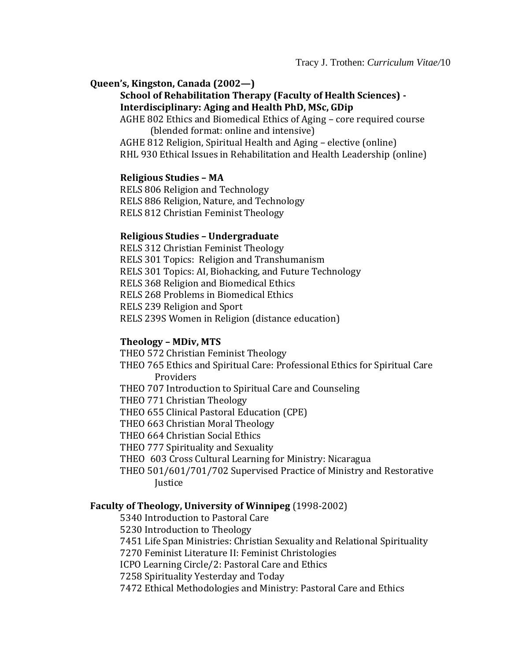#### **Queen's, Kingston, Canada (2002—)**

#### **School of Rehabilitation Therapy (Faculty of Health Sciences) - Interdisciplinary: Aging and Health PhD, MSc, GDip**

AGHE 802 Ethics and Biomedical Ethics of Aging – core required course (blended format: online and intensive)

AGHE 812 Religion, Spiritual Health and Aging – elective (online) RHL 930 Ethical Issues in Rehabilitation and Health Leadership (online)

#### **Religious Studies – MA**

RELS 806 Religion and Technology RELS 886 Religion, Nature, and Technology RELS 812 Christian Feminist Theology

#### **Religious Studies – Undergraduate**

RELS 312 Christian Feminist Theology RELS 301 Topics: Religion and Transhumanism RELS 301 Topics: AI, Biohacking, and Future Technology RELS 368 Religion and Biomedical Ethics RELS 268 Problems in Biomedical Ethics RELS 239 Religion and Sport RELS 239S Women in Religion (distance education)

#### **Theology – MDiv, MTS**

THEO 572 Christian Feminist Theology THEO 765 Ethics and Spiritual Care: Professional Ethics for Spiritual Care Providers THEO 707 Introduction to Spiritual Care and Counseling THEO 771 Christian Theology THEO 655 Clinical Pastoral Education (CPE) THEO 663 Christian Moral Theology THEO 664 Christian Social Ethics THEO 777 Spirituality and Sexuality THEO 603 Cross Cultural Learning for Ministry: Nicaragua THEO 501/601/701/702 Supervised Practice of Ministry and Restorative **Justice** 

#### **Faculty of Theology, University of Winnipeg** (1998-2002)

5340 Introduction to Pastoral Care

- 5230 Introduction to Theology
- 7451 Life Span Ministries: Christian Sexuality and Relational Spirituality

7270 Feminist Literature II: Feminist Christologies

ICPO Learning Circle/2: Pastoral Care and Ethics

7258 Spirituality Yesterday and Today

7472 Ethical Methodologies and Ministry: Pastoral Care and Ethics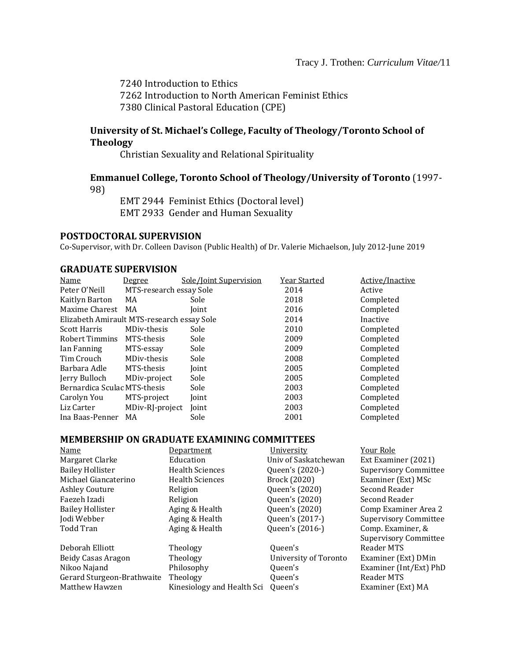7240 Introduction to Ethics 7262 Introduction to North American Feminist Ethics 7380 Clinical Pastoral Education (CPE)

#### **University of St. Michael's College, Faculty of Theology/Toronto School of Theology**

Christian Sexuality and Relational Spirituality

### **Emmanuel College, Toronto School of Theology/University of Toronto** (1997- 98)

EMT 2944 Feminist Ethics (Doctoral level) EMT 2933 Gender and Human Sexuality

#### **POSTDOCTORAL SUPERVISION**

Co-Supervisor, with Dr. Colleen Davison (Public Health) of Dr. Valerie Michaelson, July 2012-June 2019

#### **GRADUATE SUPERVISION**

| Name                                       | <u>Degree</u>           | Sole/Joint Supervision | Year Started | Active/Inactive |
|--------------------------------------------|-------------------------|------------------------|--------------|-----------------|
| Peter O'Neill                              | MTS-research essay Sole |                        | 2014         | Active          |
| Kaitlyn Barton                             | MA                      | Sole                   | 2018         | Completed       |
| Maxime Charest                             | MA                      | Joint                  | 2016         | Completed       |
| Elizabeth Amirault MTS-research essay Sole |                         |                        | 2014         | Inactive        |
| <b>Scott Harris</b>                        | MDiv-thesis             | Sole                   | 2010         | Completed       |
| Robert Timmins                             | MTS-thesis              | Sole                   | 2009         | Completed       |
| Ian Fanning                                | MTS-essay               | Sole                   | 2009         | Completed       |
| Tim Crouch                                 | MDiv-thesis             | Sole                   | 2008         | Completed       |
| Barbara Adle                               | MTS-thesis              | Joint                  | 2005         | Completed       |
| Jerry Bulloch                              | MDiv-project            | Sole                   | 2005         | Completed       |
| Bernardica Sculac MTS-thesis               |                         | Sole                   | 2003         | Completed       |
| Carolyn You                                | MTS-project             | Joint                  | 2003         | Completed       |
| Liz Carter                                 | MDiv-RJ-project         | Joint                  | 2003         | Completed       |
| Ina Baas-Penner                            | MA                      | Sole                   | 2001         | Completed       |

#### **MEMBERSHIP ON GRADUATE EXAMINING COMMITTEES**

| Name                       | Department                 | University            | <b>Your Role</b>             |
|----------------------------|----------------------------|-----------------------|------------------------------|
| Margaret Clarke            | Education                  | Univ of Saskatchewan  | Ext Examiner (2021)          |
| <b>Bailey Hollister</b>    | <b>Health Sciences</b>     | Queen's (2020-)       | <b>Supervisory Committee</b> |
| Michael Giancaterino       | <b>Health Sciences</b>     | Brock (2020)          | Examiner (Ext) MSc           |
| <b>Ashley Couture</b>      | Religion                   | Queen's (2020)        | Second Reader                |
| Faezeh Izadi               | Religion                   | Queen's (2020)        | Second Reader                |
| <b>Bailey Hollister</b>    | Aging & Health             | Queen's (2020)        | Comp Examiner Area 2         |
| Jodi Webber                | Aging & Health             | Queen's (2017-)       | <b>Supervisory Committee</b> |
| Todd Tran                  | Aging & Health             | Queen's (2016-)       | Comp. Examiner, &            |
|                            |                            |                       | <b>Supervisory Committee</b> |
| Deborah Elliott            | Theology                   | Oueen's               | Reader MTS                   |
| Beidy Casas Aragon         | Theology                   | University of Toronto | Examiner (Ext) DMin          |
| Nikoo Najand               | Philosophy                 | Oueen's               | Examiner (Int/Ext) PhD       |
| Gerard Sturgeon-Brathwaite | Theology                   | Queen's               | Reader MTS                   |
| Matthew Hawzen             | Kinesiology and Health Sci | Queen's               | Examiner (Ext) MA            |
|                            |                            |                       |                              |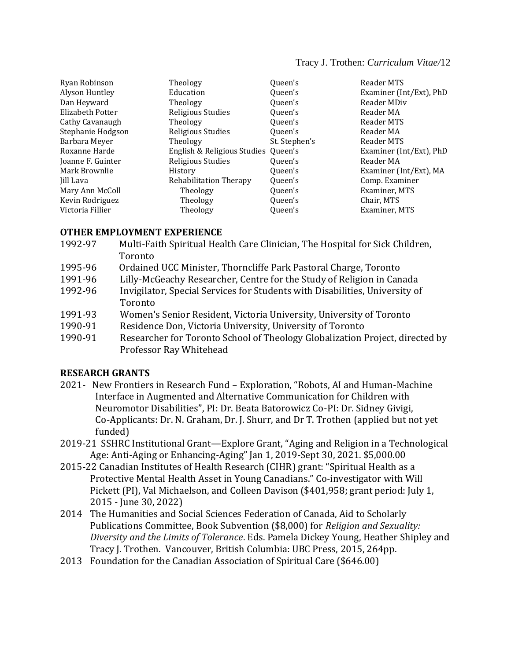#### Tracy J. Trothen: *Curriculum Vitae/*12

| Ryan Robinson     | Theology                            | Queen's       | Reader MTS              |
|-------------------|-------------------------------------|---------------|-------------------------|
| Alyson Huntley    | Education                           | Queen's       | Examiner (Int/Ext), PhD |
| Dan Heyward       | Theology                            | Oueen's       | Reader MDiv             |
| Elizabeth Potter  | Religious Studies                   | Queen's       | Reader MA               |
| Cathy Cavanaugh   | Theology                            | Queen's       | Reader MTS              |
| Stephanie Hodgson | Religious Studies                   | Queen's       | Reader MA               |
| Barbara Meyer     | Theology                            | St. Stephen's | Reader MTS              |
| Roxanne Harde     | English & Religious Studies Queen's |               | Examiner (Int/Ext), PhD |
| Joanne F. Guinter | Religious Studies                   | Queen's       | Reader MA               |
| Mark Brownlie     | History                             | Queen's       | Examiner (Int/Ext), MA  |
| Jill Lava         | <b>Rehabilitation Therapy</b>       | Queen's       | Comp. Examiner          |
| Mary Ann McColl   | Theology                            | Queen's       | Examiner, MTS           |
| Kevin Rodriguez   | Theology                            | Queen's       | Chair, MTS              |
| Victoria Fillier  | Theology                            | Queen's       | Examiner, MTS           |

#### **OTHER EMPLOYMENT EXPERIENCE**

- 1992-97 Multi-Faith Spiritual Health Care Clinician, The Hospital for Sick Children, Toronto
- 1995-96 Ordained UCC Minister, Thorncliffe Park Pastoral Charge, Toronto
- 1991-96 Lilly-McGeachy Researcher, Centre for the Study of Religion in Canada
- 1992-96 Invigilator, Special Services for Students with Disabilities, University of Toronto
- 1991-93 Women's Senior Resident, Victoria University, University of Toronto
- 1990-91 Residence Don, Victoria University, University of Toronto
- 1990-91 Researcher for Toronto School of Theology Globalization Project, directed by Professor Ray Whitehead

#### **RESEARCH GRANTS**

- 2021- New Frontiers in Research Fund Exploration, "Robots, AI and Human-Machine Interface in Augmented and Alternative Communication for Children with Neuromotor Disabilities", PI: Dr. Beata Batorowicz Co-PI: Dr. Sidney Givigi, Co-Applicants: Dr. N. Graham, Dr. J. Shurr, and Dr T. Trothen (applied but not yet funded)
- 2019-21 SSHRC Institutional Grant—Explore Grant, "Aging and Religion in a Technological Age: Anti-Aging or Enhancing-Aging" Jan 1, 2019-Sept 30, 2021. \$5,000.00
- 2015-22 Canadian Institutes of Health Research (CIHR) grant: "Spiritual Health as a Protective Mental Health Asset in Young Canadians." Co-investigator with Will Pickett (PI), Val Michaelson, and Colleen Davison (\$401,958; grant period: July 1, 2015 - June 30, 2022)
- 2014 The Humanities and Social Sciences Federation of Canada, Aid to Scholarly Publications Committee, Book Subvention (\$8,000) for *Religion and Sexuality: Diversity and the Limits of Tolerance*. Eds. Pamela Dickey Young, Heather Shipley and Tracy J. Trothen. Vancouver, British Columbia: UBC Press, 2015, 264pp.
- 2013 Foundation for the Canadian Association of Spiritual Care (\$646.00)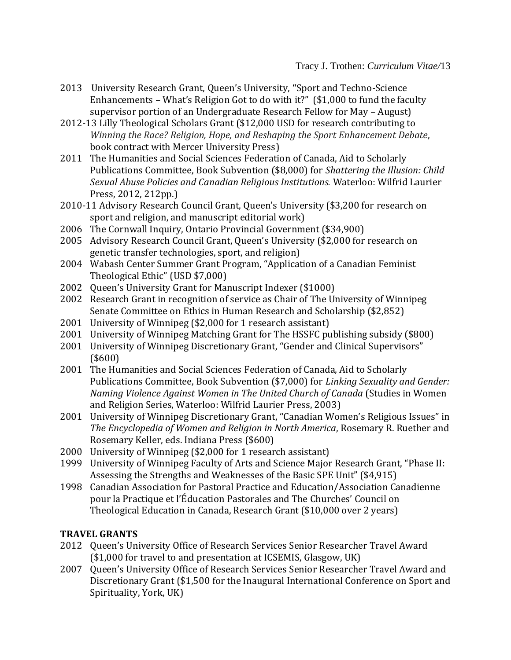- 2013 University Research Grant, Queen's University, **"**Sport and Techno-Science Enhancements – What's Religion Got to do with it?" (\$1,000 to fund the faculty supervisor portion of an Undergraduate Research Fellow for May – August)
- 2012-13 Lilly Theological Scholars Grant (\$12,000 USD for research contributing to *Winning the Race? Religion, Hope, and Reshaping the Sport Enhancement Debate*, book contract with Mercer University Press)
- 2011 The Humanities and Social Sciences Federation of Canada, Aid to Scholarly Publications Committee, Book Subvention (\$8,000) for *Shattering the Illusion: Child Sexual Abuse Policies and Canadian Religious Institutions.* Waterloo: Wilfrid Laurier Press, 2012, 212pp.)
- 2010-11 Advisory Research Council Grant, Queen's University (\$3,200 for research on sport and religion, and manuscript editorial work)
- 2006 The Cornwall Inquiry, Ontario Provincial Government (\$34,900)
- 2005 Advisory Research Council Grant, Queen's University (\$2,000 for research on genetic transfer technologies, sport, and religion)
- 2004 Wabash Center Summer Grant Program, "Application of a Canadian Feminist Theological Ethic" (USD \$7,000)
- 2002 Queen's University Grant for Manuscript Indexer (\$1000)
- 2002 Research Grant in recognition of service as Chair of The University of Winnipeg Senate Committee on Ethics in Human Research and Scholarship (\$2,852)
- 2001 University of Winnipeg (\$2,000 for 1 research assistant)
- 2001 University of Winnipeg Matching Grant for The HSSFC publishing subsidy (\$800)
- 2001 University of Winnipeg Discretionary Grant, "Gender and Clinical Supervisors" (\$600)
- 2001 The Humanities and Social Sciences Federation of Canada, Aid to Scholarly Publications Committee, Book Subvention (\$7,000) for *Linking Sexuality and Gender: Naming Violence Against Women in The United Church of Canada* (Studies in Women and Religion Series, Waterloo: Wilfrid Laurier Press, 2003)
- 2001 University of Winnipeg Discretionary Grant, "Canadian Women's Religious Issues" in *The Encyclopedia of Women and Religion in North America*, Rosemary R. Ruether and Rosemary Keller, eds. Indiana Press (\$600)
- 2000 University of Winnipeg (\$2,000 for 1 research assistant)
- 1999 University of Winnipeg Faculty of Arts and Science Major Research Grant, "Phase II: Assessing the Strengths and Weaknesses of the Basic SPE Unit" (\$4,915)
- 1998 Canadian Association for Pastoral Practice and Education/Association Canadienne pour la Practique et l'Éducation Pastorales and The Churches' Council on Theological Education in Canada, Research Grant (\$10,000 over 2 years)

# **TRAVEL GRANTS**

- 2012 Queen's University Office of Research Services Senior Researcher Travel Award (\$1,000 for travel to and presentation at ICSEMIS, Glasgow, UK)
- 2007 Queen's University Office of Research Services Senior Researcher Travel Award and Discretionary Grant (\$1,500 for the Inaugural International Conference on Sport and Spirituality, York, UK)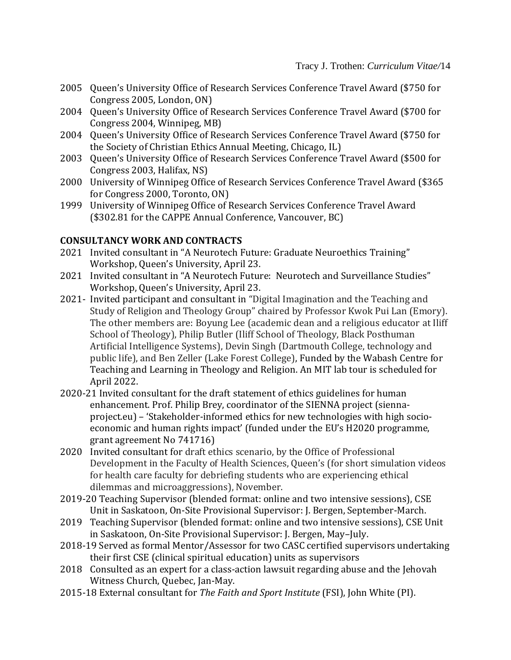- 2005 Queen's University Office of Research Services Conference Travel Award (\$750 for Congress 2005, London, ON)
- 2004 Queen's University Office of Research Services Conference Travel Award (\$700 for Congress 2004, Winnipeg, MB)
- 2004 Queen's University Office of Research Services Conference Travel Award (\$750 for the Society of Christian Ethics Annual Meeting, Chicago, IL)
- 2003 Queen's University Office of Research Services Conference Travel Award (\$500 for Congress 2003, Halifax, NS)
- 2000 University of Winnipeg Office of Research Services Conference Travel Award (\$365 for Congress 2000, Toronto, ON)
- 1999 University of Winnipeg Office of Research Services Conference Travel Award (\$302.81 for the CAPPE Annual Conference, Vancouver, BC)

### **CONSULTANCY WORK AND CONTRACTS**

- 2021 Invited consultant in "A Neurotech Future: Graduate Neuroethics Training" Workshop, Queen's University, April 23.
- 2021 Invited consultant in "A Neurotech Future: Neurotech and Surveillance Studies" Workshop, Queen's University, April 23.
- 2021- Invited participant and consultant in "Digital Imagination and the Teaching and Study of Religion and Theology Group" chaired by Professor Kwok Pui Lan (Emory). The other members are: Boyung Lee (academic dean and a religious educator at Iliff School of Theology), Philip Butler (Iliff School of Theology, Black Posthuman Artificial Intelligence Systems), Devin Singh (Dartmouth College, technology and public life), and Ben Zeller (Lake Forest College), Funded by the Wabash Centre for Teaching and Learning in Theology and Religion. An MIT lab tour is scheduled for April 2022.
- 2020-21 Invited consultant for the draft statement of ethics guidelines for human enhancement. Prof. Philip Brey, coordinator of the SIENNA project (siennaproject.eu) – 'Stakeholder-informed ethics for new technologies with high socioeconomic and human rights impact' (funded under the EU's H2020 programme, grant agreement No 741716)
- 2020 Invited consultant for draft ethics scenario, by the Office of Professional Development in the Faculty of Health Sciences, Queen's (for short simulation videos for health care faculty for debriefing students who are experiencing ethical dilemmas and microaggressions), November.
- 2019-20 Teaching Supervisor (blended format: online and two intensive sessions), CSE Unit in Saskatoon, On-Site Provisional Supervisor: J. Bergen, September-March.
- 2019 Teaching Supervisor (blended format: online and two intensive sessions), CSE Unit in Saskatoon, On-Site Provisional Supervisor: J. Bergen, May–July.
- 2018-19 Served as formal Mentor/Assessor for two CASC certified supervisors undertaking their first CSE (clinical spiritual education) units as supervisors
- 2018 Consulted as an expert for a class-action lawsuit regarding abuse and the Jehovah Witness Church, Quebec, Jan-May.
- 2015-18 External consultant for *The Faith and Sport Institute* (FSI), John White (PI).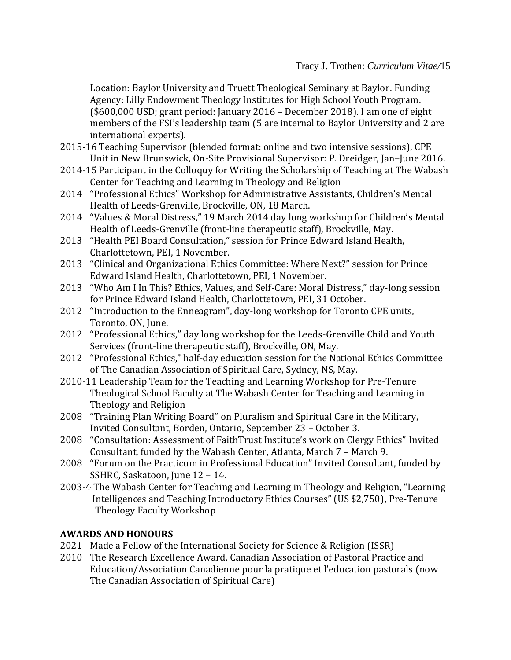Location: Baylor University and Truett Theological Seminary at Baylor. Funding Agency: Lilly Endowment Theology Institutes for High School Youth Program. (\$600,000 USD; grant period: January 2016 – December 2018). I am one of eight members of the FSI's leadership team (5 are internal to Baylor University and 2 are international experts).

- 2015-16 Teaching Supervisor (blended format: online and two intensive sessions), CPE Unit in New Brunswick, On-Site Provisional Supervisor: P. Dreidger, Jan–June 2016.
- 2014-15 Participant in the Colloquy for Writing the Scholarship of Teaching at The Wabash Center for Teaching and Learning in Theology and Religion
- 2014 "Professional Ethics" Workshop for Administrative Assistants, Children's Mental Health of Leeds-Grenville, Brockville, ON, 18 March.
- 2014 "Values & Moral Distress," 19 March 2014 day long workshop for Children's Mental Health of Leeds-Grenville (front-line therapeutic staff), Brockville, May.
- 2013 "Health PEI Board Consultation," session for Prince Edward Island Health, Charlottetown, PEI, 1 November.
- 2013 "Clinical and Organizational Ethics Committee: Where Next?" session for Prince Edward Island Health, Charlottetown, PEI, 1 November.
- 2013 "Who Am I In This? Ethics, Values, and Self-Care: Moral Distress," day-long session for Prince Edward Island Health, Charlottetown, PEI, 31 October.
- 2012 "Introduction to the Enneagram", day-long workshop for Toronto CPE units, Toronto, ON, June.
- 2012 "Professional Ethics," day long workshop for the Leeds-Grenville Child and Youth Services (front-line therapeutic staff), Brockville, ON, May.
- 2012 "Professional Ethics," half-day education session for the National Ethics Committee of The Canadian Association of Spiritual Care, Sydney, NS, May.
- 2010-11 Leadership Team for the Teaching and Learning Workshop for Pre-Tenure Theological School Faculty at The Wabash Center for Teaching and Learning in Theology and Religion
- 2008 "Training Plan Writing Board" on Pluralism and Spiritual Care in the Military, Invited Consultant, Borden, Ontario, September 23 – October 3.
- 2008 "Consultation: Assessment of FaithTrust Institute's work on Clergy Ethics" Invited Consultant, funded by the Wabash Center, Atlanta, March 7 – March 9.
- 2008 "Forum on the Practicum in Professional Education" Invited Consultant, funded by SSHRC, Saskatoon, June 12 – 14.
- 2003-4 The Wabash Center for Teaching and Learning in Theology and Religion, "Learning Intelligences and Teaching Introductory Ethics Courses" (US \$2,750), Pre-Tenure Theology Faculty Workshop

# **AWARDS AND HONOURS**

- 2021 Made a Fellow of the International Society for Science & Religion (ISSR)
- 2010 The Research Excellence Award, Canadian Association of Pastoral Practice and Education/Association Canadienne pour la pratique et l'education pastorals (now The Canadian Association of Spiritual Care)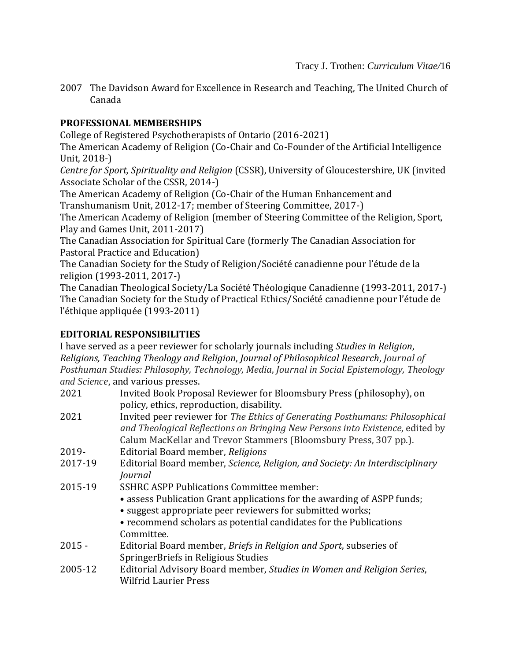2007 The Davidson Award for Excellence in Research and Teaching, The United Church of Canada

# **PROFESSIONAL MEMBERSHIPS**

College of Registered Psychotherapists of Ontario (2016-2021)

The American Academy of Religion (Co-Chair and Co-Founder of the Artificial Intelligence Unit, 2018-)

*Centre for Sport, Spirituality and Religion* (CSSR), University of Gloucestershire, UK (invited Associate Scholar of the CSSR, 2014-)

The American Academy of Religion (Co-Chair of the Human Enhancement and Transhumanism Unit, 2012-17; member of Steering Committee, 2017-)

The American Academy of Religion (member of Steering Committee of the Religion, Sport, Play and Games Unit, 2011-2017)

The Canadian Association for Spiritual Care (formerly The Canadian Association for Pastoral Practice and Education)

The Canadian Society for the Study of Religion/Société canadienne pour l'étude de la religion (1993-2011, 2017-)

The Canadian Theological Society/La Société Théologique Canadienne (1993-2011, 2017-) The Canadian Society for the Study of Practical Ethics/Société canadienne pour l'étude de l'éthique appliquée (1993-2011)

# **EDITORIAL RESPONSIBILITIES**

I have served as a peer reviewer for scholarly journals including *Studies in Religion*, *Religions, Teaching Theology and Religion*, *Journal of Philosophical Research*, *Journal of Posthuman Studies: Philosophy, Technology, Media*, *Journal in Social Epistemology, Theology and Science,* and various presses.

- 2021 Invited Book Proposal Reviewer for Bloomsbury Press (philosophy), on policy, ethics, reproduction, disability.
- 2021 Invited peer reviewer for *The Ethics of Generating Posthumans: Philosophical and Theological Reflections on Bringing New Persons into Existence*, edited by Calum MacKellar and Trevor Stammers (Bloomsbury Press, 307 pp.).
- 2019- Editorial Board member, *Religions*
- 2017-19 Editorial Board member, *Science, Religion, and Society: An Interdisciplinary Journal*
- 2015-19 SSHRC ASPP Publications Committee member:
	- assess Publication Grant applications for the awarding of ASPP funds;
	- suggest appropriate peer reviewers for submitted works;
	- recommend scholars as potential candidates for the Publications Committee.
- 2015 Editorial Board member, *Briefs in Religion and Sport*, subseries of SpringerBriefs in Religious Studies
- 2005-12 Editorial Advisory Board member, *Studies in Women and Religion Series*, Wilfrid Laurier Press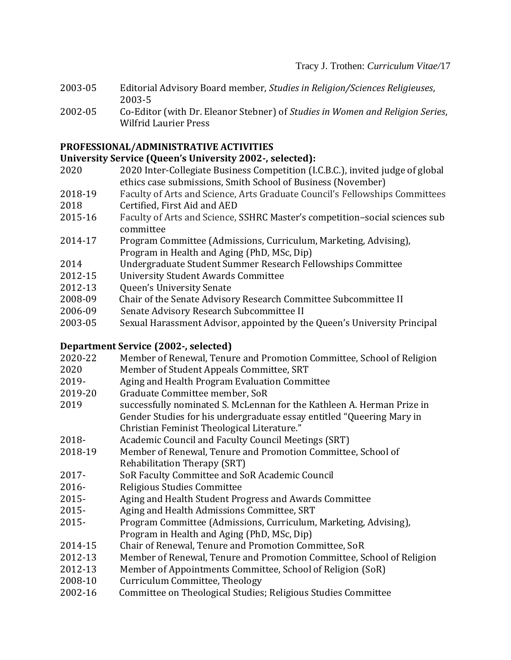- 2003-05 Editorial Advisory Board member, *Studies in Religion/Sciences Religieuses*, 2003-5
- 2002-05 Co-Editor (with Dr. Eleanor Stebner) of *Studies in Women and Religion Series*, Wilfrid Laurier Press

# **PROFESSIONAL/ADMINISTRATIVE ACTIVITIES**

# **University Service (Queen's University 2002-, selected):**

- 2020 2020 Inter-Collegiate Business Competition (I.C.B.C.), invited judge of global ethics case submissions, Smith School of Business (November)
- 2018-19 Faculty of Arts and Science, Arts Graduate Council's Fellowships Committees 2018 Certified, First Aid and AED
- 2015-16 Faculty of Arts and Science, SSHRC Master's competition–social sciences sub committee
- 2014-17 Program Committee (Admissions, Curriculum, Marketing, Advising), Program in Health and Aging (PhD, MSc, Dip)
- 2014 Undergraduate Student Summer Research Fellowships Committee
- 2012-15 University Student Awards Committee
- 2012-13 Queen's University Senate
- 2008-09 Chair of the Senate Advisory Research Committee Subcommittee II
- 2006-09 Senate Advisory Research Subcommittee II
- 2003-05 Sexual Harassment Advisor, appointed by the Queen's University Principal

# **Department Service (2002-, selected)**

- 2020-22 Member of Renewal, Tenure and Promotion Committee, School of Religion 2020 Member of Student Appeals Committee, SRT 2019- Aging and Health Program Evaluation Committee 2019-20 Graduate Committee member, SoR 2019 successfully nominated S. McLennan for the Kathleen A. Herman Prize in Gender Studies for his undergraduate essay entitled "Queering Mary in Christian Feminist Theological Literature." 2018- Academic Council and Faculty Council Meetings (SRT) 2018-19 Member of Renewal, Tenure and Promotion Committee, School of Rehabilitation Therapy (SRT) 2017- SoR Faculty Committee and SoR Academic Council 2016- Religious Studies Committee 2015- Aging and Health Student Progress and Awards Committee 2015- Aging and Health Admissions Committee, SRT 2015- Program Committee (Admissions, Curriculum, Marketing, Advising), Program in Health and Aging (PhD, MSc, Dip) 2014-15 Chair of Renewal, Tenure and Promotion Committee, SoR 2012-13 Member of Renewal, Tenure and Promotion Committee, School of Religion 2012-13 Member of Appointments Committee, School of Religion (SoR) 2008-10 Curriculum Committee, Theology
- 2002-16 Committee on Theological Studies; Religious Studies Committee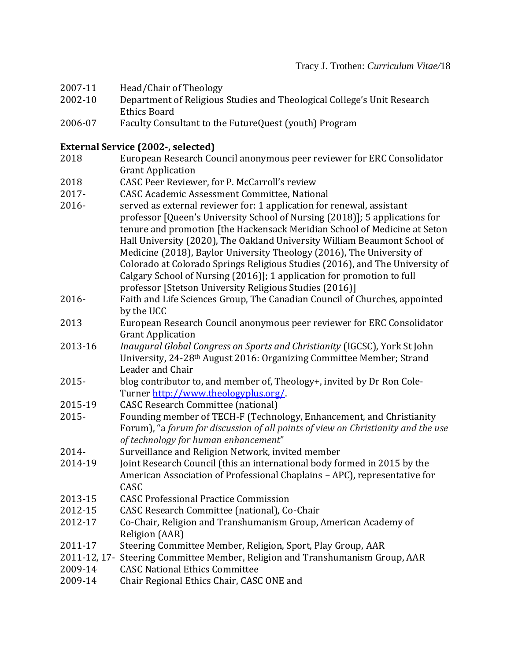- 2007-11 Head/Chair of Theology
- 2002-10 Department of Religious Studies and Theological College's Unit Research Ethics Board
- 2006-07 Faculty Consultant to the FutureQuest (youth) Program

## **External Service (2002-, selected)**

- 2018 European Research Council anonymous peer reviewer for ERC Consolidator Grant Application
- 2018 CASC Peer Reviewer, for P. McCarroll's review
- 2017- CASC Academic Assessment Committee, National
- 2016- served as external reviewer for: 1 application for renewal, assistant professor [Queen's University School of Nursing (2018)]; 5 applications for tenure and promotion [the Hackensack Meridian School of Medicine at Seton Hall University (2020), The Oakland University William Beaumont School of Medicine (2018), Baylor University Theology (2016), The University of Colorado at Colorado Springs Religious Studies (2016), and The University of Calgary School of Nursing (2016)]; 1 application for promotion to full professor [Stetson University Religious Studies (2016)]
- 2016- Faith and Life Sciences Group, The Canadian Council of Churches, appointed by the UCC
- 2013 European Research Council anonymous peer reviewer for ERC Consolidator Grant Application
- 2013-16 *Inaugural Global Congress on Sports and Christianity* (IGCSC), York St John University, 24-28th August 2016: Organizing Committee Member; Strand Leader and Chair
- 2015- blog contributor to, and member of, Theology+, invited by Dr Ron Cole-Turner [http://www.theologyplus.org/.](http://www.theologyplus.org/)
- 2015-19 CASC Research Committee (national)
- 2015- Founding member of TECH-F (Technology, Enhancement, and Christianity Forum), "a *forum for discussion of all points of view on Christianity and the use of technology for human enhancement*"
- 2014- Surveillance and Religion Network, invited member
- 2014-19 Joint Research Council (this an international body formed in 2015 by the American Association of Professional Chaplains – APC), representative for CASC
- 2013-15 CASC Professional Practice Commission
- 2012-15 CASC Research Committee (national), Co-Chair
- 2012-17 Co-Chair, Religion and Transhumanism Group, American Academy of Religion (AAR)
- 2011-17 Steering Committee Member, Religion, Sport, Play Group, AAR
- 2011-12, 17- Steering Committee Member, Religion and Transhumanism Group, AAR
- 2009-14 CASC National Ethics Committee
- 2009-14 Chair Regional Ethics Chair, CASC ONE and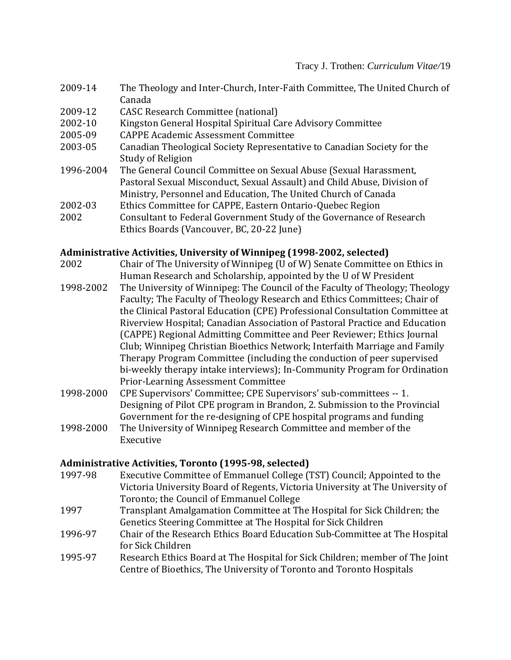- 2009-14 The Theology and Inter-Church, Inter-Faith Committee, The United Church of Canada
- 2009-12 CASC Research Committee (national)
- 2002-10 Kingston General Hospital Spiritual Care Advisory Committee
- 2005-09 CAPPE Academic Assessment Committee
- 2003-05 Canadian Theological Society Representative to Canadian Society for the Study of Religion
- 1996-2004 The General Council Committee on Sexual Abuse (Sexual Harassment, Pastoral Sexual Misconduct, Sexual Assault) and Child Abuse, Division of Ministry, Personnel and Education, The United Church of Canada
- 2002-03 Ethics Committee for CAPPE, Eastern Ontario-Quebec Region
- 2002 Consultant to Federal Government Study of the Governance of Research Ethics Boards (Vancouver, BC, 20-22 June)

## **Administrative Activities, University of Winnipeg (1998-2002, selected)**

- 2002 Chair of The University of Winnipeg (U of W) Senate Committee on Ethics in Human Research and Scholarship, appointed by the U of W President
- 1998-2002 The University of Winnipeg: The Council of the Faculty of Theology; Theology Faculty; The Faculty of Theology Research and Ethics Committees; Chair of the Clinical Pastoral Education (CPE) Professional Consultation Committee at Riverview Hospital; Canadian Association of Pastoral Practice and Education (CAPPE) Regional Admitting Committee and Peer Reviewer; Ethics Journal Club; Winnipeg Christian Bioethics Network; Interfaith Marriage and Family Therapy Program Committee (including the conduction of peer supervised bi-weekly therapy intake interviews); In-Community Program for Ordination Prior-Learning Assessment Committee
- 1998-2000 CPE Supervisors' Committee; CPE Supervisors' sub-committees -- 1. Designing of Pilot CPE program in Brandon, 2. Submission to the Provincial Government for the re-designing of CPE hospital programs and funding
- 1998-2000 The University of Winnipeg Research Committee and member of the Executive

### **Administrative Activities, Toronto (1995-98, selected)**

- 1997-98 Executive Committee of Emmanuel College (TST) Council; Appointed to the Victoria University Board of Regents, Victoria University at The University of Toronto; the Council of Emmanuel College
- 1997 Transplant Amalgamation Committee at The Hospital for Sick Children; the Genetics Steering Committee at The Hospital for Sick Children
- 1996-97 Chair of the Research Ethics Board Education Sub-Committee at The Hospital for Sick Children
- 1995-97 Research Ethics Board at The Hospital for Sick Children; member of The Joint Centre of Bioethics, The University of Toronto and Toronto Hospitals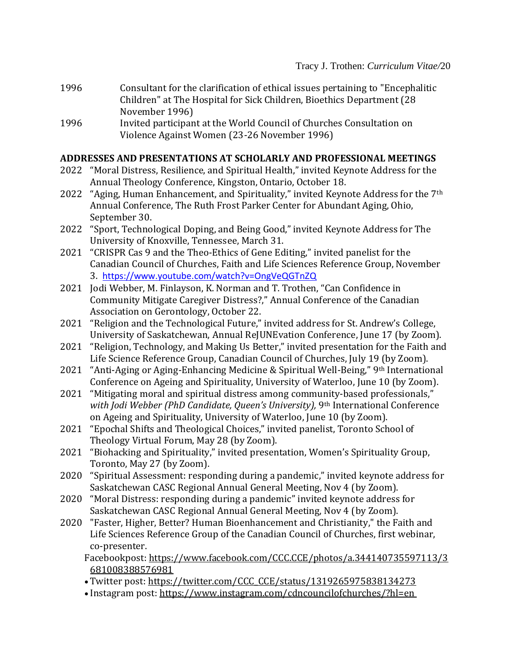- 1996 Consultant for the clarification of ethical issues pertaining to "Encephalitic Children" at The Hospital for Sick Children, Bioethics Department (28 November 1996)
- 1996 Invited participant at the World Council of Churches Consultation on Violence Against Women (23-26 November 1996)

### **ADDRESSES AND PRESENTATIONS AT SCHOLARLY AND PROFESSIONAL MEETINGS**

- 2022 "Moral Distress, Resilience, and Spiritual Health," invited Keynote Address for the Annual Theology Conference, Kingston, Ontario, October 18.
- 2022 "Aging, Human Enhancement, and Spirituality," invited Keynote Address for the 7<sup>th</sup> Annual Conference, The Ruth Frost Parker Center for Abundant Aging, Ohio, September 30.
- 2022 "Sport, Technological Doping, and Being Good," invited Keynote Address for The University of Knoxville, Tennessee, March 31.
- 2021 "CRISPR Cas 9 and the Theo-Ethics of Gene Editing," invited panelist for the Canadian Council of Churches, Faith and Life Sciences Reference Group, November 3. [https://www.youtube.com/watch?v=OngVeQGTnZQ](https://can01.safelinks.protection.outlook.com/?url=https%3A%2F%2Fwww.youtube.com%2Fwatch%3Fv%3DOngVeQGTnZQ&data=04%7C01%7Ctrothent%40queensu.ca%7Ca40983d9284841f21dcf08d9a2cccf9f%7Cd61ecb3b38b142d582c4efb2838b925c%7C1%7C0%7C637719824911467275%7CUnknown%7CTWFpbGZsb3d8eyJWIjoiMC4wLjAwMDAiLCJQIjoiV2luMzIiLCJBTiI6Ik1haWwiLCJXVCI6Mn0%3D%7C1000&sdata=WHYAZ6IiLcm%2Fxgd8k%2F5Og1sLrn5hzMpMHcLMXQz3Lco%3D&reserved=0)
- 2021 Jodi Webber, M. Finlayson, K. Norman and T. Trothen, "Can Confidence in Community Mitigate Caregiver Distress?," Annual Conference of the Canadian Association on Gerontology, October 22.
- 2021 "Religion and the Technological Future," invited address for St. Andrew's College, University of Saskatchewan, Annual ReJUNEvation Conference, June 17 (by Zoom).
- 2021 "Religion, Technology, and Making Us Better," invited presentation for the Faith and Life Science Reference Group, Canadian Council of Churches, July 19 (by Zoom).
- 2021 "Anti-Aging or Aging-Enhancing Medicine & Spiritual Well-Being," 9th International Conference on Ageing and Spirituality, University of Waterloo, June 10 (by Zoom).
- 2021 "Mitigating moral and spiritual distress among community-based professionals," *with Jodi Webber (PhD Candidate, Queen's University),* 9th International Conference on Ageing and Spirituality, University of Waterloo, June 10 (by Zoom).
- 2021 "Epochal Shifts and Theological Choices," invited panelist, Toronto School of Theology Virtual Forum, May 28 (by Zoom).
- 2021 "Biohacking and Spirituality," invited presentation, Women's Spirituality Group, Toronto, May 27 (by Zoom).
- 2020 "Spiritual Assessment: responding during a pandemic," invited keynote address for Saskatchewan CASC Regional Annual General Meeting, Nov 4 (by Zoom).
- 2020 "Moral Distress: responding during a pandemic" invited keynote address for Saskatchewan CASC Regional Annual General Meeting, Nov 4 (by Zoom).
- 2020 "Faster, Higher, Better? Human [Bioenhancement](https://can01.safelinks.protection.outlook.com/?url=https%3A%2F%2Fwww.youtube.com%2Fwatch%3Fv%3Dyd_TWNBp_5A%26feature%3Dyoutu.be&data=04%7C01%7Ctrothent%40queensu.ca%7Cbd8302ccdc8c46b7fe5208d879b6a82a%7Cd61ecb3b38b142d582c4efb2838b925c%7C1%7C0%7C637393172696517256%7CUnknown%7CTWFpbGZsb3d8eyJWIjoiMC4wLjAwMDAiLCJQIjoiV2luMzIiLCJBTiI6Ik1haWwiLCJXVCI6Mn0%3D%7C1000&sdata=DDXL7v4IXxe5AE7i3ZBY5p3qS58NVFxqVdhzCbNomOE%3D&reserved=0) and Christianity," the Faith and Life Sciences Reference Group of the Canadian Council of Churches, first webinar, co-presenter.

Facebookpost: [https://www.facebook.com/CCC.CCE/photos/a.344140735597113/3](https://can01.safelinks.protection.outlook.com/?url=https%3A%2F%2Fwww.facebook.com%2FCCC.CCE%2Fphotos%2Fa.344140735597113%2F3681008388576981&data=04%7C01%7Ctrothent%40queensu.ca%7Cbd8302ccdc8c46b7fe5208d879b6a82a%7Cd61ecb3b38b142d582c4efb2838b925c%7C1%7C0%7C637393172696527253%7CUnknown%7CTWFpbGZsb3d8eyJWIjoiMC4wLjAwMDAiLCJQIjoiV2luMzIiLCJBTiI6Ik1haWwiLCJXVCI6Mn0%3D%7C1000&sdata=%2B7lMGEPzedH9B%2BMxyYG%2FVpToMJ%2FhURH0K0v59Pjh%2Fqc%3D&reserved=0) [681008388576981](https://can01.safelinks.protection.outlook.com/?url=https%3A%2F%2Fwww.facebook.com%2FCCC.CCE%2Fphotos%2Fa.344140735597113%2F3681008388576981&data=04%7C01%7Ctrothent%40queensu.ca%7Cbd8302ccdc8c46b7fe5208d879b6a82a%7Cd61ecb3b38b142d582c4efb2838b925c%7C1%7C0%7C637393172696527253%7CUnknown%7CTWFpbGZsb3d8eyJWIjoiMC4wLjAwMDAiLCJQIjoiV2luMzIiLCJBTiI6Ik1haWwiLCJXVCI6Mn0%3D%7C1000&sdata=%2B7lMGEPzedH9B%2BMxyYG%2FVpToMJ%2FhURH0K0v59Pjh%2Fqc%3D&reserved=0)

- Twitter post: [https://twitter.com/CCC\\_CCE/status/1319265975838134273](https://can01.safelinks.protection.outlook.com/?url=https%3A%2F%2Ftwitter.com%2FCCC_CCE%2Fstatus%2F1319265975838134273&data=04%7C01%7Ctrothent%40queensu.ca%7Cbd8302ccdc8c46b7fe5208d879b6a82a%7Cd61ecb3b38b142d582c4efb2838b925c%7C1%7C0%7C637393172696527253%7CUnknown%7CTWFpbGZsb3d8eyJWIjoiMC4wLjAwMDAiLCJQIjoiV2luMzIiLCJBTiI6Ik1haWwiLCJXVCI6Mn0%3D%7C1000&sdata=9jSvaQlE1ojWj1PAvaWrctMnp6CRfO5mcMeAOC8nK8c%3D&reserved=0)
- Instagram post: [https://www.instagram.com/cdncouncilofchurches/?hl=en](https://can01.safelinks.protection.outlook.com/?url=https%3A%2F%2Fwww.instagram.com%2Fcdncouncilofchurches%2F%3Fhl%3Den&data=04%7C01%7Ctrothent%40queensu.ca%7Cbd8302ccdc8c46b7fe5208d879b6a82a%7Cd61ecb3b38b142d582c4efb2838b925c%7C1%7C0%7C637393172696537246%7CUnknown%7CTWFpbGZsb3d8eyJWIjoiMC4wLjAwMDAiLCJQIjoiV2luMzIiLCJBTiI6Ik1haWwiLCJXVCI6Mn0%3D%7C1000&sdata=SJpHEEbr6u6TVUpXgwW7G9YEpImZ2VhZ%2F%2FpjNUGk3mM%3D&reserved=0)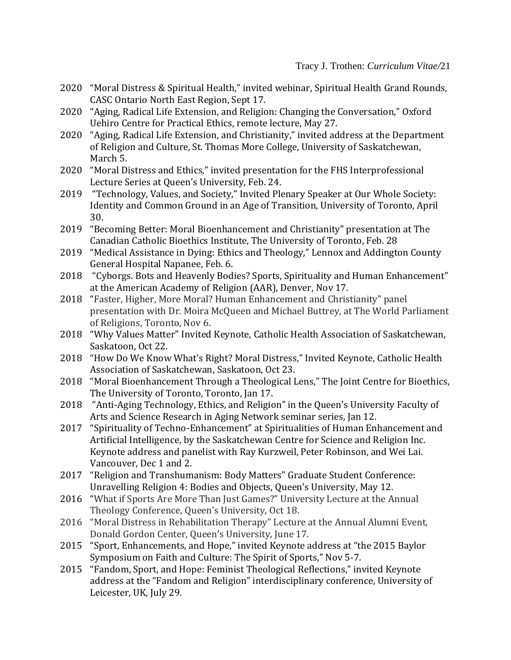- 2020 "Moral Distress & Spiritual Health," invited webinar, Spiritual Health Grand Rounds, CASC Ontario North East Region, Sept 17.
- 2020 "Aging, Radical Life Extension, and Religion: Changing the Conversation," Oxford Uehiro Centre for Practical Ethics, remote lecture, May 27.
- 2020 "Aging, Radical Life Extension, and Christianity," invited address at the Department of Religion and Culture, St. Thomas More College, University of Saskatchewan, March 5.
- 2020 "Moral Distress and Ethics," invited presentation for the FHS Interprofessional Lecture Series at Queen's University, Feb. 24.
- 2019 "Technology, Values, and Society," Invited Plenary Speaker at Our Whole Society: Identity and Common Ground in an Age of Transition, University of Toronto, April 30.
- 2019 "Becoming Better: Moral Bioenhancement and Christianity" presentation at The Canadian Catholic Bioethics Institute, The University of Toronto, Feb. 28
- 2019 "Medical Assistance in Dying: Ethics and Theology," Lennox and Addington County General Hospital Napanee, Feb. 6.
- 2018 "Cyborgs. Bots and Heavenly Bodies? Sports, Spirituality and Human Enhancement" at the American Academy of Religion (AAR), Denver, Nov 17.
- 2018 "Faster, Higher, More Moral? Human Enhancement and Christianity" panel presentation with Dr. Moira McQueen and Michael Buttrey, at The World Parliament of Religions, Toronto, Nov 6.
- 2018 "Why Values Matter" Invited Keynote, Catholic Health Association of Saskatchewan, Saskatoon, Oct 22.
- 2018 "How Do We Know What's Right? Moral Distress," Invited Keynote, Catholic Health Association of Saskatchewan, Saskatoon, Oct 23.
- 2018 "Moral Bioenhancement Through a Theological Lens," The Joint Centre for Bioethics, The University of Toronto, Toronto, Jan 17.
- 2018 "Anti-Aging Technology, Ethics, and Religion" in the Queen's University Faculty of Arts and Science Research in Aging Network seminar series, Jan 12.
- 2017 "Spirituality of Techno-Enhancement" at Spiritualities of Human Enhancement and Artificial Intelligence, by the Saskatchewan Centre for Science and Religion Inc. Keynote address and panelist with Ray Kurzweil, Peter Robinson, and Wei Lai. Vancouver, Dec 1 and 2.
- 2017 "Religion and Transhumanism: Body Matters" Graduate Student Conference: Unravelling Religion 4: Bodies and Objects, Queen's University, May 12.
- 2016 "What if Sports Are More Than Just Games?" University Lecture at the Annual Theology Conference, Queen's University, Oct 18.
- 2016 "Moral Distress in Rehabilitation Therapy" Lecture at the Annual Alumni Event, Donald Gordon Center, Queen's University, June 17.
- 2015 "Sport, Enhancements, and Hope," invited Keynote address at "the 2015 Baylor Symposium on Faith and Culture: The Spirit of Sports," Nov 5-7.
- 2015 "Fandom, Sport, and Hope: Feminist Theological Reflections," invited Keynote address at the "Fandom and Religion" interdisciplinary conference, University of Leicester, UK, July 29.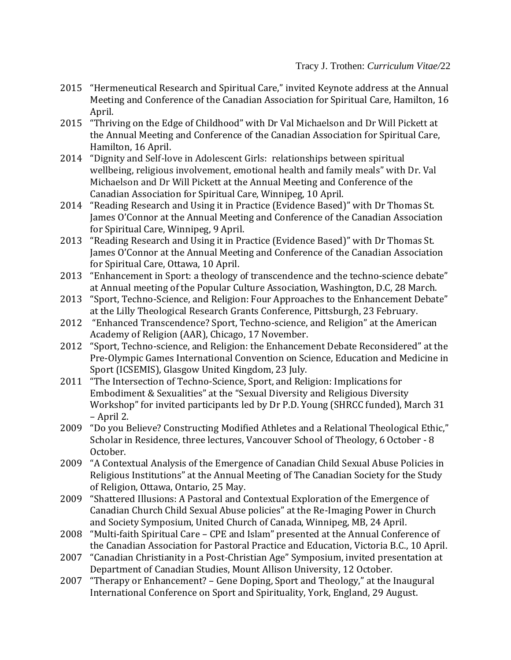- 2015 "Hermeneutical Research and Spiritual Care," invited Keynote address at the Annual Meeting and Conference of the Canadian Association for Spiritual Care, Hamilton, 16 April.
- 2015 "Thriving on the Edge of Childhood" with Dr Val Michaelson and Dr Will Pickett at the Annual Meeting and Conference of the Canadian Association for Spiritual Care, Hamilton, 16 April.
- 2014 "Dignity and Self-love in Adolescent Girls: relationships between spiritual wellbeing, religious involvement, emotional health and family meals" with Dr. Val Michaelson and Dr Will Pickett at the Annual Meeting and Conference of the Canadian Association for Spiritual Care, Winnipeg, 10 April.
- 2014 "Reading Research and Using it in Practice (Evidence Based)" with Dr Thomas St. James O'Connor at the Annual Meeting and Conference of the Canadian Association for Spiritual Care, Winnipeg, 9 April.
- 2013 "Reading Research and Using it in Practice (Evidence Based)" with Dr Thomas St. James O'Connor at the Annual Meeting and Conference of the Canadian Association for Spiritual Care, Ottawa, 10 April.
- 2013 "Enhancement in Sport: a theology of transcendence and the techno-science debate" at Annual meeting of the Popular Culture Association, Washington, D.C, 28 March.
- 2013 "Sport, Techno-Science, and Religion: Four Approaches to the Enhancement Debate" at the Lilly Theological Research Grants Conference, Pittsburgh, 23 February.
- 2012 "Enhanced Transcendence? Sport, Techno-science, and Religion" at the American Academy of Religion (AAR), Chicago, 17 November.
- 2012 "Sport, Techno-science, and Religion: the Enhancement Debate Reconsidered" at the Pre-Olympic Games International Convention on Science, Education and Medicine in Sport (ICSEMIS), Glasgow United Kingdom, 23 July.
- 2011 "The Intersection of Techno-Science, Sport, and Religion: Implications for Embodiment & Sexualities" at the "Sexual Diversity and Religious Diversity Workshop" for invited participants led by Dr P.D. Young (SHRCC funded), March 31 – April 2.
- 2009 "Do you Believe? Constructing Modified Athletes and a Relational Theological Ethic," Scholar in Residence, three lectures, Vancouver School of Theology, 6 October - 8 October.
- 2009 "A Contextual Analysis of the Emergence of Canadian Child Sexual Abuse Policies in Religious Institutions" at the Annual Meeting of The Canadian Society for the Study of Religion, Ottawa, Ontario, 25 May.
- 2009 "Shattered Illusions: A Pastoral and Contextual Exploration of the Emergence of Canadian Church Child Sexual Abuse policies" at the Re-Imaging Power in Church and Society Symposium, United Church of Canada, Winnipeg, MB, 24 April.
- 2008 "Multi-faith Spiritual Care CPE and Islam" presented at the Annual Conference of the Canadian Association for Pastoral Practice and Education, Victoria B.C., 10 April.
- 2007 "Canadian Christianity in a Post-Christian Age" Symposium, invited presentation at Department of Canadian Studies, Mount Allison University, 12 October.
- 2007 "Therapy or Enhancement? Gene Doping, Sport and Theology," at the Inaugural International Conference on Sport and Spirituality, York, England, 29 August.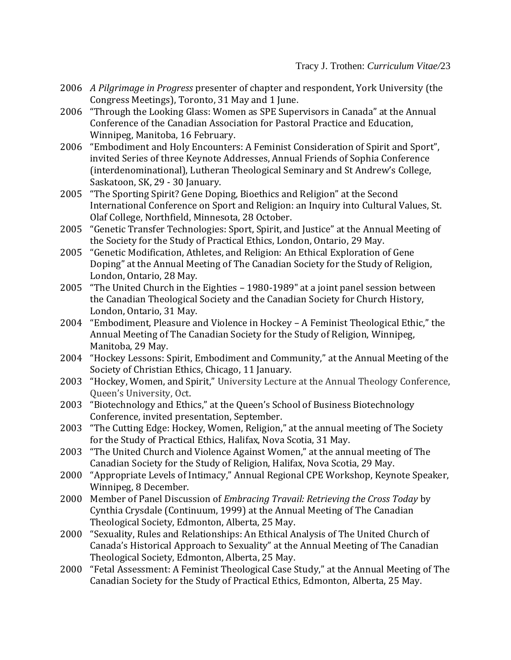- 2006 *A Pilgrimage in Progress* presenter of chapter and respondent, York University (the Congress Meetings), Toronto, 31 May and 1 June.
- 2006 "Through the Looking Glass: Women as SPE Supervisors in Canada" at the Annual Conference of the Canadian Association for Pastoral Practice and Education, Winnipeg, Manitoba, 16 February.
- 2006 "Embodiment and Holy Encounters: A Feminist Consideration of Spirit and Sport", invited Series of three Keynote Addresses, Annual Friends of Sophia Conference (interdenominational), Lutheran Theological Seminary and St Andrew's College, Saskatoon, SK, 29 - 30 January.
- 2005 "The Sporting Spirit? Gene Doping, Bioethics and Religion" at the Second International Conference on Sport and Religion: an Inquiry into Cultural Values, St. Olaf College, Northfield, Minnesota, 28 October.
- 2005 "Genetic Transfer Technologies: Sport, Spirit, and Justice" at the Annual Meeting of the Society for the Study of Practical Ethics, London, Ontario, 29 May.
- 2005 "Genetic Modification, Athletes, and Religion: An Ethical Exploration of Gene Doping" at the Annual Meeting of The Canadian Society for the Study of Religion, London, Ontario, 28 May.
- 2005 "The United Church in the Eighties 1980-1989" at a joint panel session between the Canadian Theological Society and the Canadian Society for Church History, London, Ontario, 31 May.
- 2004 "Embodiment, Pleasure and Violence in Hockey A Feminist Theological Ethic," the Annual Meeting of The Canadian Society for the Study of Religion, Winnipeg, Manitoba, 29 May.
- 2004 "Hockey Lessons: Spirit, Embodiment and Community," at the Annual Meeting of the Society of Christian Ethics, Chicago, 11 January.
- 2003 "Hockey, Women, and Spirit," University Lecture at the Annual Theology Conference, Queen's University, Oct.
- 2003 "Biotechnology and Ethics," at the Queen's School of Business Biotechnology Conference, invited presentation, September.
- 2003 "The Cutting Edge: Hockey, Women, Religion," at the annual meeting of The Society for the Study of Practical Ethics, Halifax, Nova Scotia, 31 May.
- 2003 "The United Church and Violence Against Women," at the annual meeting of The Canadian Society for the Study of Religion, Halifax, Nova Scotia, 29 May.
- 2000 "Appropriate Levels of Intimacy," Annual Regional CPE Workshop, Keynote Speaker, Winnipeg, 8 December.
- 2000 Member of Panel Discussion of *Embracing Travail: Retrieving the Cross Today* by Cynthia Crysdale (Continuum, 1999) at the Annual Meeting of The Canadian Theological Society, Edmonton, Alberta, 25 May.
- 2000 "Sexuality, Rules and Relationships: An Ethical Analysis of The United Church of Canada's Historical Approach to Sexuality" at the Annual Meeting of The Canadian Theological Society, Edmonton, Alberta, 25 May.
- 2000 "Fetal Assessment: A Feminist Theological Case Study," at the Annual Meeting of The Canadian Society for the Study of Practical Ethics, Edmonton, Alberta, 25 May.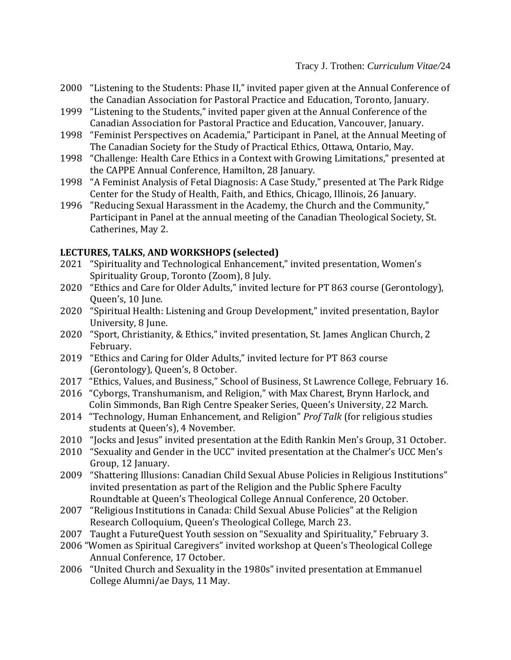- 2000 "Listening to the Students: Phase II," invited paper given at the Annual Conference of the Canadian Association for Pastoral Practice and Education, Toronto, January.
- 1999 "Listening to the Students," invited paper given at the Annual Conference of the Canadian Association for Pastoral Practice and Education, Vancouver, January.
- 1998 "Feminist Perspectives on Academia," Participant in Panel, at the Annual Meeting of The Canadian Society for the Study of Practical Ethics, Ottawa, Ontario, May.
- 1998 "Challenge: Health Care Ethics in a Context with Growing Limitations," presented at the CAPPE Annual Conference, Hamilton, 28 January.
- 1998 "A Feminist Analysis of Fetal Diagnosis: A Case Study," presented at The Park Ridge Center for the Study of Health, Faith, and Ethics, Chicago, Illinois, 26 January.
- 1996 "Reducing Sexual Harassment in the Academy, the Church and the Community," Participant in Panel at the annual meeting of the Canadian Theological Society, St. Catherines, May 2.

## **LECTURES, TALKS, AND WORKSHOPS (selected)**

- 2021 "Spirituality and Technological Enhancement," invited presentation, Women's Spirituality Group, Toronto (Zoom), 8 July.
- 2020 "Ethics and Care for Older Adults," invited lecture for PT 863 course (Gerontology), Queen's, 10 June.
- 2020 "Spiritual Health: Listening and Group Development," invited presentation, Baylor University, 8 June.
- 2020 "Sport, Christianity, & Ethics," invited presentation, St. James Anglican Church, 2 February.
- 2019 "Ethics and Caring for Older Adults," invited lecture for PT 863 course (Gerontology), Queen's, 8 October.
- 2017 "Ethics, Values, and Business," School of Business, St Lawrence College, February 16.
- 2016 "Cyborgs, Transhumanism, and Religion," with Max Charest, Brynn Harlock, and Colin Simmonds, Ban Righ Centre Speaker Series, Queen's University, 22 March.
- 2014 "Technology, Human Enhancement, and Religion" *Prof Talk* (for religious studies students at Queen's), 4 November.
- 2010 "Jocks and Jesus" invited presentation at the Edith Rankin Men's Group, 31 October.
- 2010 "Sexuality and Gender in the UCC" invited presentation at the Chalmer's UCC Men's Group, 12 January.
- 2009 "Shattering Illusions: Canadian Child Sexual Abuse Policies in Religious Institutions" invited presentation as part of the Religion and the Public Sphere Faculty Roundtable at Queen's Theological College Annual Conference, 20 October.
- 2007 "Religious Institutions in Canada: Child Sexual Abuse Policies" at the Religion Research Colloquium, Queen's Theological College, March 23.
- 2007 Taught a FutureQuest Youth session on "Sexuality and Spirituality," February 3.
- 2006 "Women as Spiritual Caregivers" invited workshop at Queen's Theological College Annual Conference, 17 October.
- 2006 "United Church and Sexuality in the 1980s" invited presentation at Emmanuel College Alumni/ae Days, 11 May.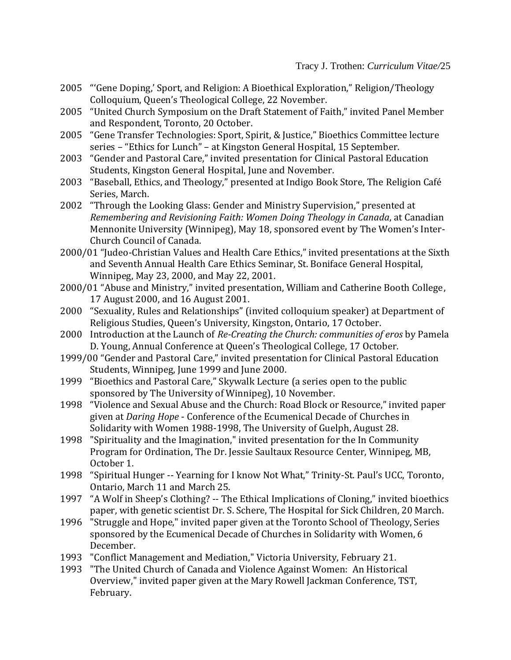- 2005 "'Gene Doping,' Sport, and Religion: A Bioethical Exploration," Religion/Theology Colloquium, Queen's Theological College, 22 November.
- 2005 "United Church Symposium on the Draft Statement of Faith," invited Panel Member and Respondent, Toronto, 20 October.
- 2005 "Gene Transfer Technologies: Sport, Spirit, & Justice," Bioethics Committee lecture series – "Ethics for Lunch" – at Kingston General Hospital, 15 September.
- 2003 "Gender and Pastoral Care," invited presentation for Clinical Pastoral Education Students, Kingston General Hospital, June and November.
- 2003 "Baseball, Ethics, and Theology," presented at Indigo Book Store, The Religion Café Series, March.
- 2002 "Through the Looking Glass: Gender and Ministry Supervision," presented at *Remembering and Revisioning Faith: Women Doing Theology in Canada*, at Canadian Mennonite University (Winnipeg), May 18, sponsored event by The Women's Inter-Church Council of Canada.
- 2000/01 "Judeo-Christian Values and Health Care Ethics," invited presentations at the Sixth and Seventh Annual Health Care Ethics Seminar, St. Boniface General Hospital, Winnipeg, May 23, 2000, and May 22, 2001.
- 2000/01 "Abuse and Ministry," invited presentation, William and Catherine Booth College, 17 August 2000, and 16 August 2001.
- 2000 "Sexuality, Rules and Relationships" (invited colloquium speaker) at Department of Religious Studies, Queen's University, Kingston, Ontario, 17 October.
- 2000 Introduction at the Launch of *Re-Creating the Church: communities of eros* by Pamela D. Young, Annual Conference at Queen's Theological College, 17 October.
- 1999/00 "Gender and Pastoral Care," invited presentation for Clinical Pastoral Education Students, Winnipeg, June 1999 and June 2000.
- 1999 "Bioethics and Pastoral Care," Skywalk Lecture (a series open to the public sponsored by The University of Winnipeg), 10 November.
- 1998 "Violence and Sexual Abuse and the Church: Road Block or Resource," invited paper given at *Daring Hope* - Conference of the Ecumenical Decade of Churches in Solidarity with Women 1988-1998, The University of Guelph, August 28.
- 1998 "Spirituality and the Imagination," invited presentation for the In Community Program for Ordination, The Dr. Jessie Saultaux Resource Center, Winnipeg, MB, October 1.
- 1998 "Spiritual Hunger -- Yearning for I know Not What," Trinity-St. Paul's UCC, Toronto, Ontario, March 11 and March 25.
- 1997 "A Wolf in Sheep's Clothing? -- The Ethical Implications of Cloning," invited bioethics paper, with genetic scientist Dr. S. Schere, The Hospital for Sick Children, 20 March.
- 1996 "Struggle and Hope," invited paper given at the Toronto School of Theology, Series sponsored by the Ecumenical Decade of Churches in Solidarity with Women, 6 December.
- 1993 "Conflict Management and Mediation," Victoria University, February 21.
- 1993 "The United Church of Canada and Violence Against Women: An Historical Overview," invited paper given at the Mary Rowell Jackman Conference, TST, February.